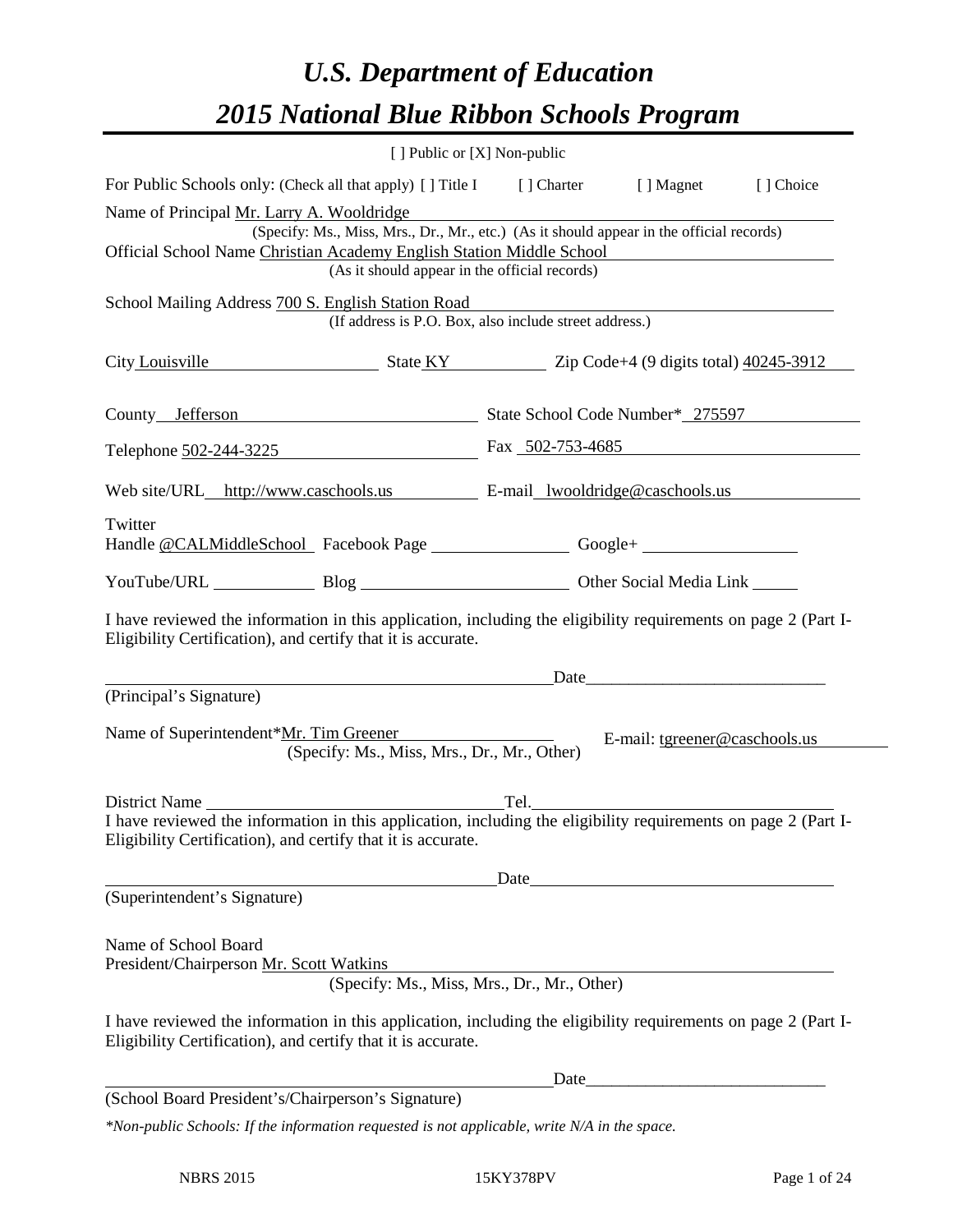# *U.S. Department of Education 2015 National Blue Ribbon Schools Program*

|                                                                                                                                                                                |  | [ ] Public or [X] Non-public                                                    |                               |           |  |  |  |
|--------------------------------------------------------------------------------------------------------------------------------------------------------------------------------|--|---------------------------------------------------------------------------------|-------------------------------|-----------|--|--|--|
| For Public Schools only: (Check all that apply) [] Title I [] Charter [] Magnet                                                                                                |  |                                                                                 |                               | [] Choice |  |  |  |
| Name of Principal Mr. Larry A. Wooldridge                                                                                                                                      |  |                                                                                 |                               |           |  |  |  |
| (Specify: Ms., Miss, Mrs., Dr., Mr., etc.) (As it should appear in the official records)                                                                                       |  |                                                                                 |                               |           |  |  |  |
| Official School Name Christian Academy English Station Middle School<br>(As it should appear in the official records)                                                          |  |                                                                                 |                               |           |  |  |  |
| School Mailing Address 700 S. English Station Road                                                                                                                             |  | Crigiism Station Road<br>(If address is P.O. Box, also include street address.) |                               |           |  |  |  |
|                                                                                                                                                                                |  |                                                                                 |                               |           |  |  |  |
| City Louisville State KY Zip Code+4 (9 digits total) 40245-3912                                                                                                                |  |                                                                                 |                               |           |  |  |  |
| County Jefferson State School Code Number* 275597                                                                                                                              |  |                                                                                 |                               |           |  |  |  |
| Telephone <u>502-244-3225</u> Fax 502-753-4685                                                                                                                                 |  |                                                                                 |                               |           |  |  |  |
| Web site/URL_http://www.caschools.us E-mail_lwooldridge@caschools.us                                                                                                           |  |                                                                                 |                               |           |  |  |  |
| Twitter                                                                                                                                                                        |  |                                                                                 |                               |           |  |  |  |
| Handle @CALMiddleSchool Facebook Page __________________Google+ ________________                                                                                               |  |                                                                                 |                               |           |  |  |  |
| YouTube/URL Blog Blog Dther Social Media Link                                                                                                                                  |  |                                                                                 |                               |           |  |  |  |
| I have reviewed the information in this application, including the eligibility requirements on page 2 (Part I-<br>Eligibility Certification), and certify that it is accurate. |  |                                                                                 |                               |           |  |  |  |
| Date                                                                                                                                                                           |  |                                                                                 |                               |           |  |  |  |
| (Principal's Signature)                                                                                                                                                        |  |                                                                                 |                               |           |  |  |  |
| Name of Superintendent*Mr. Tim Greener<br>(Specify: Ms., Miss, Mrs., Dr., Mr., Other)                                                                                          |  |                                                                                 | E-mail: tgreener@caschools.us |           |  |  |  |
| District Name                                                                                                                                                                  |  | Tel.                                                                            |                               |           |  |  |  |
| Eligibility Certification), and certify that it is accurate.                                                                                                                   |  |                                                                                 |                               |           |  |  |  |
|                                                                                                                                                                                |  | Date                                                                            |                               |           |  |  |  |
| (Superintendent's Signature)                                                                                                                                                   |  |                                                                                 |                               |           |  |  |  |
| Name of School Board<br>President/Chairperson Mr. Scott Watkins                                                                                                                |  |                                                                                 |                               |           |  |  |  |
|                                                                                                                                                                                |  | (Specify: Ms., Miss, Mrs., Dr., Mr., Other)                                     |                               |           |  |  |  |
| I have reviewed the information in this application, including the eligibility requirements on page 2 (Part I-<br>Eligibility Certification), and certify that it is accurate. |  |                                                                                 |                               |           |  |  |  |
|                                                                                                                                                                                |  | Date                                                                            |                               |           |  |  |  |
| (School Board President's/Chairperson's Signature)                                                                                                                             |  |                                                                                 |                               |           |  |  |  |
| *Non-public Schools: If the information requested is not applicable, write N/A in the space.                                                                                   |  |                                                                                 |                               |           |  |  |  |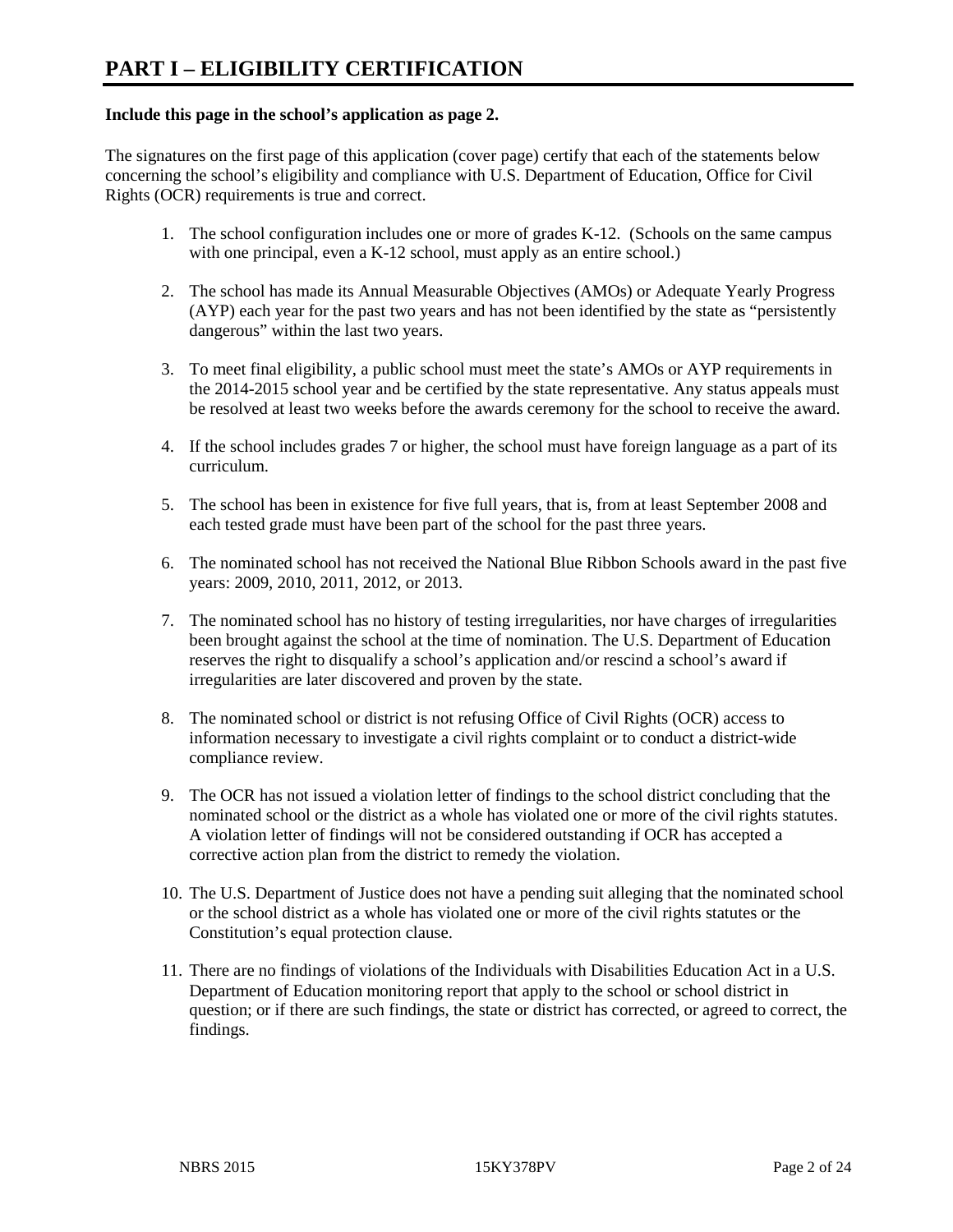#### **Include this page in the school's application as page 2.**

The signatures on the first page of this application (cover page) certify that each of the statements below concerning the school's eligibility and compliance with U.S. Department of Education, Office for Civil Rights (OCR) requirements is true and correct.

- 1. The school configuration includes one or more of grades K-12. (Schools on the same campus with one principal, even a K-12 school, must apply as an entire school.)
- 2. The school has made its Annual Measurable Objectives (AMOs) or Adequate Yearly Progress (AYP) each year for the past two years and has not been identified by the state as "persistently dangerous" within the last two years.
- 3. To meet final eligibility, a public school must meet the state's AMOs or AYP requirements in the 2014-2015 school year and be certified by the state representative. Any status appeals must be resolved at least two weeks before the awards ceremony for the school to receive the award.
- 4. If the school includes grades 7 or higher, the school must have foreign language as a part of its curriculum.
- 5. The school has been in existence for five full years, that is, from at least September 2008 and each tested grade must have been part of the school for the past three years.
- 6. The nominated school has not received the National Blue Ribbon Schools award in the past five years: 2009, 2010, 2011, 2012, or 2013.
- 7. The nominated school has no history of testing irregularities, nor have charges of irregularities been brought against the school at the time of nomination. The U.S. Department of Education reserves the right to disqualify a school's application and/or rescind a school's award if irregularities are later discovered and proven by the state.
- 8. The nominated school or district is not refusing Office of Civil Rights (OCR) access to information necessary to investigate a civil rights complaint or to conduct a district-wide compliance review.
- 9. The OCR has not issued a violation letter of findings to the school district concluding that the nominated school or the district as a whole has violated one or more of the civil rights statutes. A violation letter of findings will not be considered outstanding if OCR has accepted a corrective action plan from the district to remedy the violation.
- 10. The U.S. Department of Justice does not have a pending suit alleging that the nominated school or the school district as a whole has violated one or more of the civil rights statutes or the Constitution's equal protection clause.
- 11. There are no findings of violations of the Individuals with Disabilities Education Act in a U.S. Department of Education monitoring report that apply to the school or school district in question; or if there are such findings, the state or district has corrected, or agreed to correct, the findings.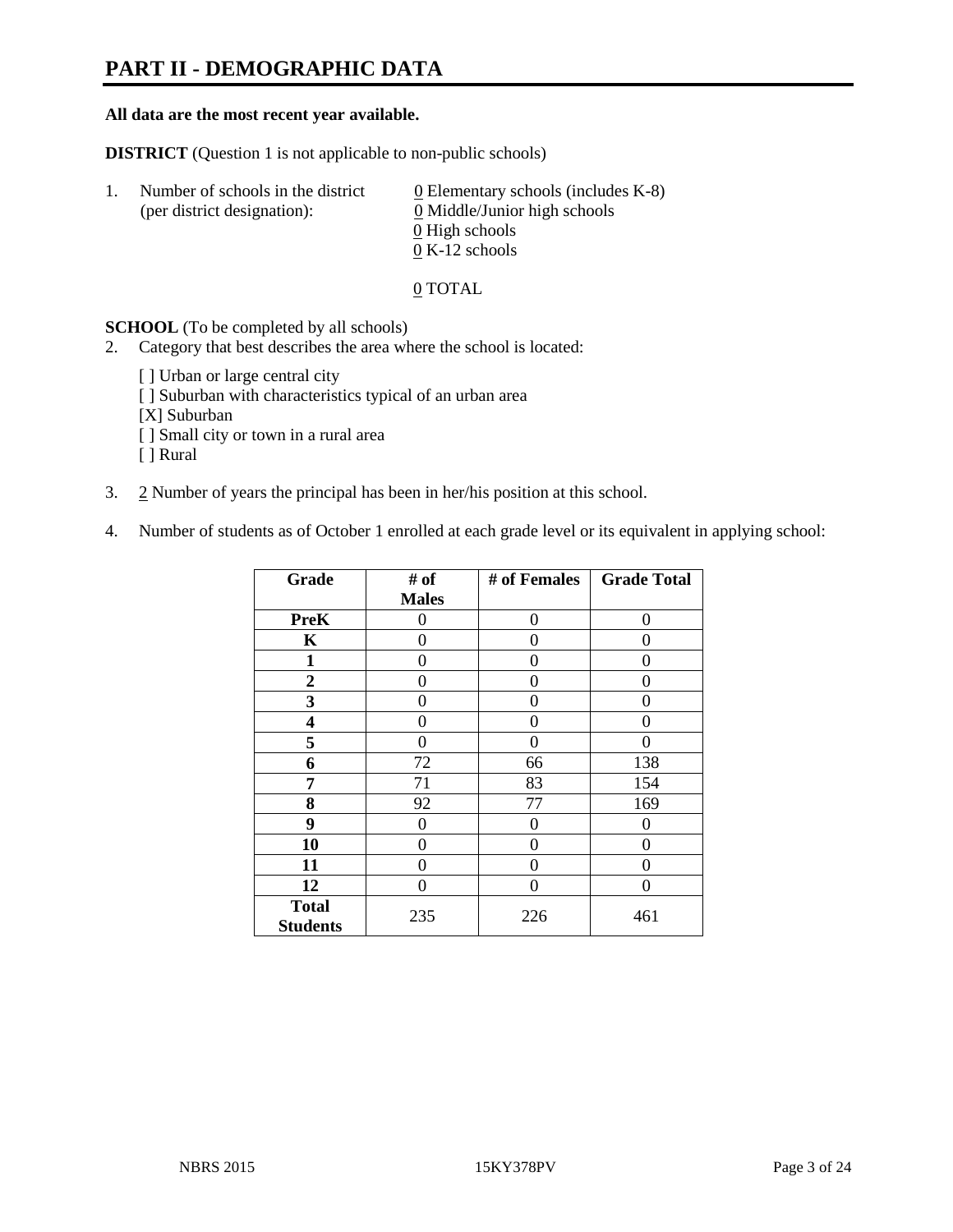# **PART II - DEMOGRAPHIC DATA**

#### **All data are the most recent year available.**

**DISTRICT** (Question 1 is not applicable to non-public schools)

| -1. | Number of schools in the district<br>(per district designation): | $\underline{0}$ Elementary schools (includes K-8)<br>0 Middle/Junior high schools<br>0 High schools |
|-----|------------------------------------------------------------------|-----------------------------------------------------------------------------------------------------|
|     |                                                                  |                                                                                                     |
|     |                                                                  | $0 K-12$ schools                                                                                    |

0 TOTAL

**SCHOOL** (To be completed by all schools)

- 2. Category that best describes the area where the school is located:
	- [ ] Urban or large central city
	- [ ] Suburban with characteristics typical of an urban area
	- [X] Suburban
	- [ ] Small city or town in a rural area
	- [ ] Rural
- 3. 2 Number of years the principal has been in her/his position at this school.
- 4. Number of students as of October 1 enrolled at each grade level or its equivalent in applying school:

| Grade                           | # of         | # of Females | <b>Grade Total</b> |
|---------------------------------|--------------|--------------|--------------------|
|                                 | <b>Males</b> |              |                    |
| <b>PreK</b>                     | 0            | 0            | 0                  |
| K                               | 0            | 0            | 0                  |
| $\mathbf{1}$                    | 0            | 0            | 0                  |
| $\mathbf{2}$                    | 0            | $\Omega$     | 0                  |
| 3                               | 0            | $\Omega$     | 0                  |
| 4                               | 0            | 0            | $\theta$           |
| 5                               | 0            | $\Omega$     | 0                  |
| 6                               | 72           | 66           | 138                |
| 7                               | 71           | 83           | 154                |
| 8                               | 92           | 77           | 169                |
| 9                               | 0            | 0            | 0                  |
| 10                              | 0            | 0            | 0                  |
| 11                              | 0            | 0            | 0                  |
| 12                              | 0            | $\Omega$     | 0                  |
| <b>Total</b><br><b>Students</b> | 235          | 226          | 461                |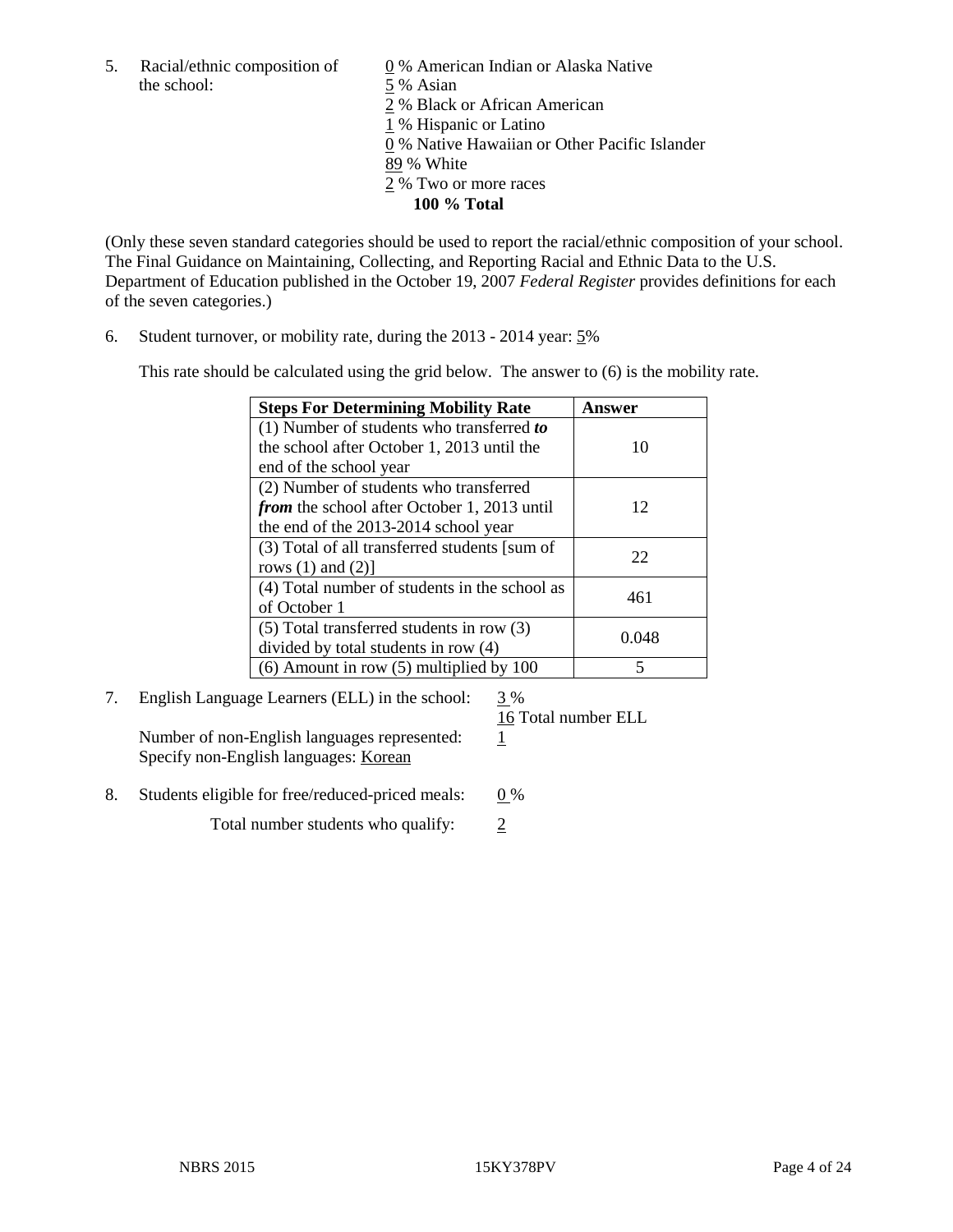5. Racial/ethnic composition of  $\qquad \qquad \underline{0}$  % American Indian or Alaska Native the school: 5 % Asian

 % Black or African American % Hispanic or Latino % Native Hawaiian or Other Pacific Islander 89 % White % Two or more races **100 % Total**

(Only these seven standard categories should be used to report the racial/ethnic composition of your school. The Final Guidance on Maintaining, Collecting, and Reporting Racial and Ethnic Data to the U.S. Department of Education published in the October 19, 2007 *Federal Register* provides definitions for each of the seven categories.)

6. Student turnover, or mobility rate, during the 2013 - 2014 year: 5%

This rate should be calculated using the grid below. The answer to (6) is the mobility rate.

| <b>Steps For Determining Mobility Rate</b>         | Answer |
|----------------------------------------------------|--------|
| $(1)$ Number of students who transferred to        |        |
| the school after October 1, 2013 until the         | 10     |
| end of the school year                             |        |
| (2) Number of students who transferred             |        |
| <i>from</i> the school after October 1, 2013 until | 12     |
| the end of the 2013-2014 school year               |        |
| (3) Total of all transferred students [sum of      | 22     |
| rows $(1)$ and $(2)$ ]                             |        |
| (4) Total number of students in the school as      | 461    |
| of October 1                                       |        |
| $(5)$ Total transferred students in row $(3)$      | 0.048  |
| divided by total students in row (4)               |        |
| $(6)$ Amount in row $(5)$ multiplied by 100        | 5      |

7. English Language Learners (ELL) in the school: 3 %

Number of non-English languages represented: 1 Specify non-English languages: Korean

16 Total number ELL

8. Students eligible for free/reduced-priced meals:  $0\%$ 

Total number students who qualify:  $\frac{2}{3}$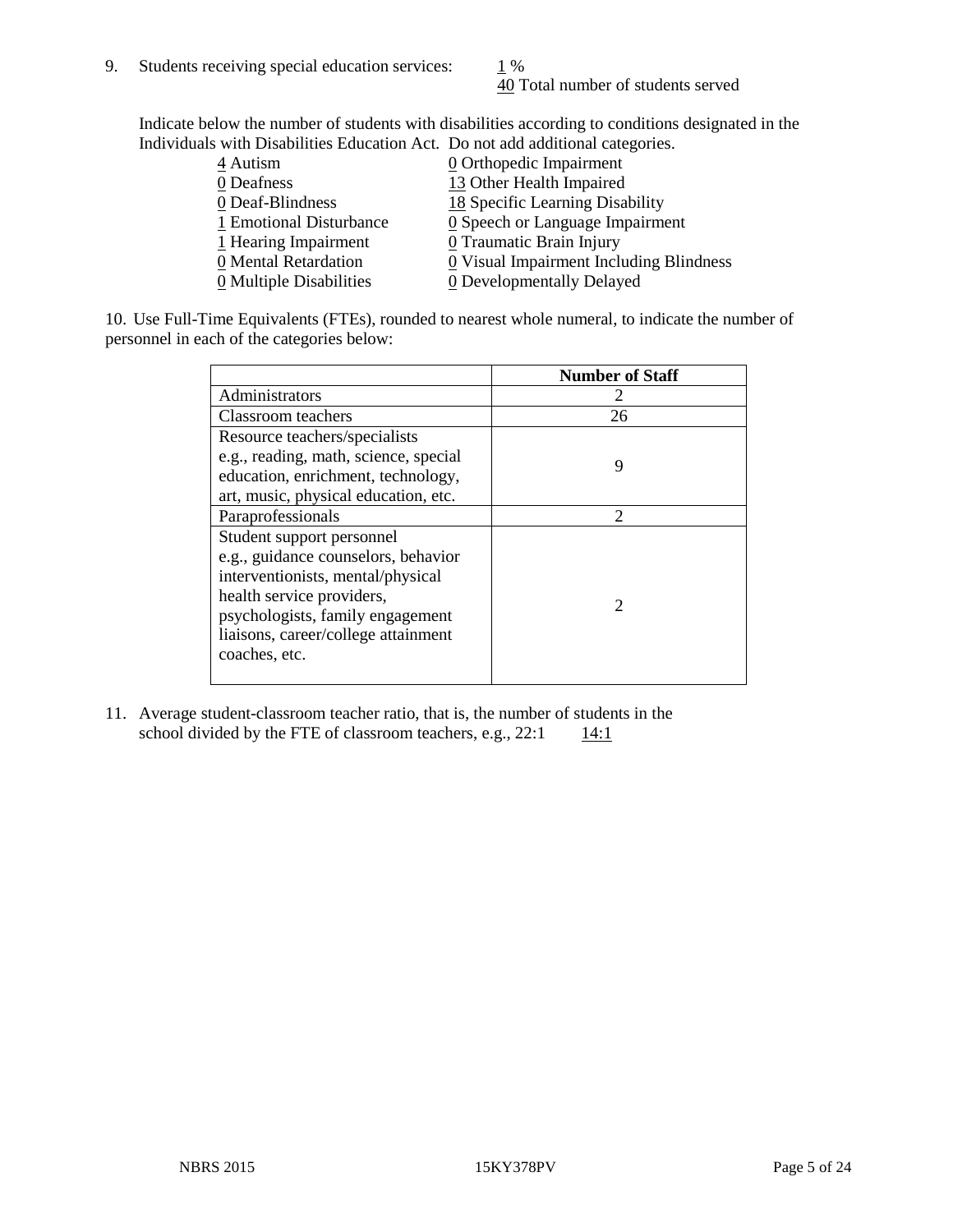40 Total number of students served

Indicate below the number of students with disabilities according to conditions designated in the Individuals with Disabilities Education Act. Do not add additional categories.

| 4 Autism                | $Q$ Orthopedic Impairment                     |
|-------------------------|-----------------------------------------------|
| 0 Deafness              | 13 Other Health Impaired                      |
| 0 Deaf-Blindness        | 18 Specific Learning Disability               |
| 1 Emotional Disturbance | $\underline{0}$ Speech or Language Impairment |
| 1 Hearing Impairment    | 0 Traumatic Brain Injury                      |
| 0 Mental Retardation    | 0 Visual Impairment Including Blindness       |
| 0 Multiple Disabilities | 0 Developmentally Delayed                     |
|                         |                                               |

10. Use Full-Time Equivalents (FTEs), rounded to nearest whole numeral, to indicate the number of personnel in each of the categories below:

|                                       | <b>Number of Staff</b> |
|---------------------------------------|------------------------|
| Administrators                        |                        |
| Classroom teachers                    | 26                     |
| Resource teachers/specialists         |                        |
| e.g., reading, math, science, special | 9                      |
| education, enrichment, technology,    |                        |
| art, music, physical education, etc.  |                        |
| Paraprofessionals                     | $\mathfrak{D}$         |
| Student support personnel             |                        |
| e.g., guidance counselors, behavior   |                        |
| interventionists, mental/physical     |                        |
| health service providers,             |                        |
| psychologists, family engagement      |                        |
| liaisons, career/college attainment   |                        |
| coaches, etc.                         |                        |
|                                       |                        |

11. Average student-classroom teacher ratio, that is, the number of students in the school divided by the FTE of classroom teachers, e.g.,  $22:1$  14:1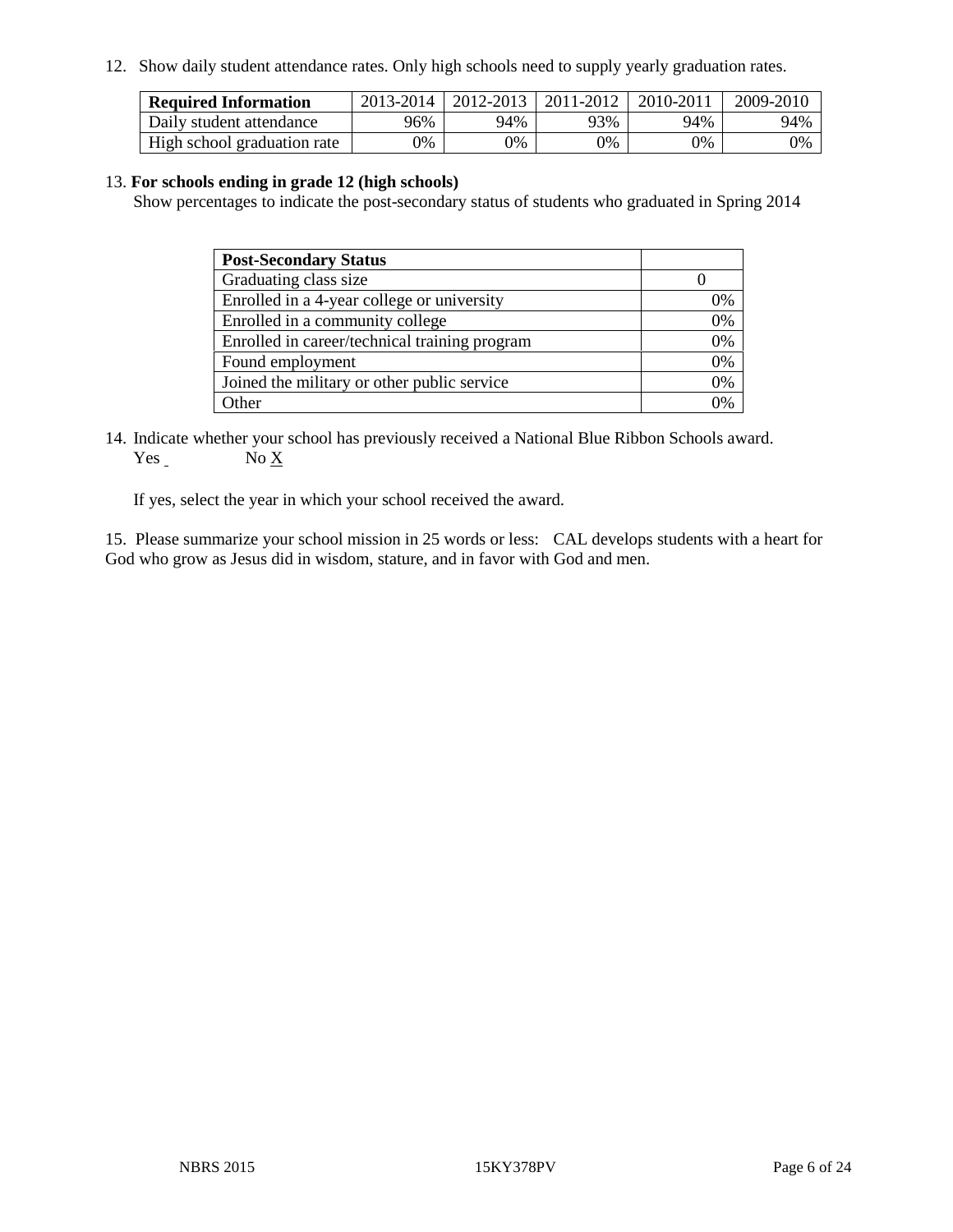12. Show daily student attendance rates. Only high schools need to supply yearly graduation rates.

| <b>Required Information</b> | 2013-2014 | 2012-2013 | 2011-2012 | 2010-2011 | 2009-2010 |
|-----------------------------|-----------|-----------|-----------|-----------|-----------|
| Daily student attendance    | 96%       | 94%       | 93%       | 94%       | 94%       |
| High school graduation rate | 9%        | 0%        | $0\%$     | 9%        | 0%        |

#### 13. **For schools ending in grade 12 (high schools)**

Show percentages to indicate the post-secondary status of students who graduated in Spring 2014

| <b>Post-Secondary Status</b>                  |    |
|-----------------------------------------------|----|
| Graduating class size                         |    |
| Enrolled in a 4-year college or university    | 0% |
| Enrolled in a community college               | 0% |
| Enrolled in career/technical training program | 0% |
| Found employment                              | 0% |
| Joined the military or other public service   | 0% |
| Other                                         |    |

14. Indicate whether your school has previously received a National Blue Ribbon Schools award. Yes No X

If yes, select the year in which your school received the award.

15. Please summarize your school mission in 25 words or less: CAL develops students with a heart for God who grow as Jesus did in wisdom, stature, and in favor with God and men.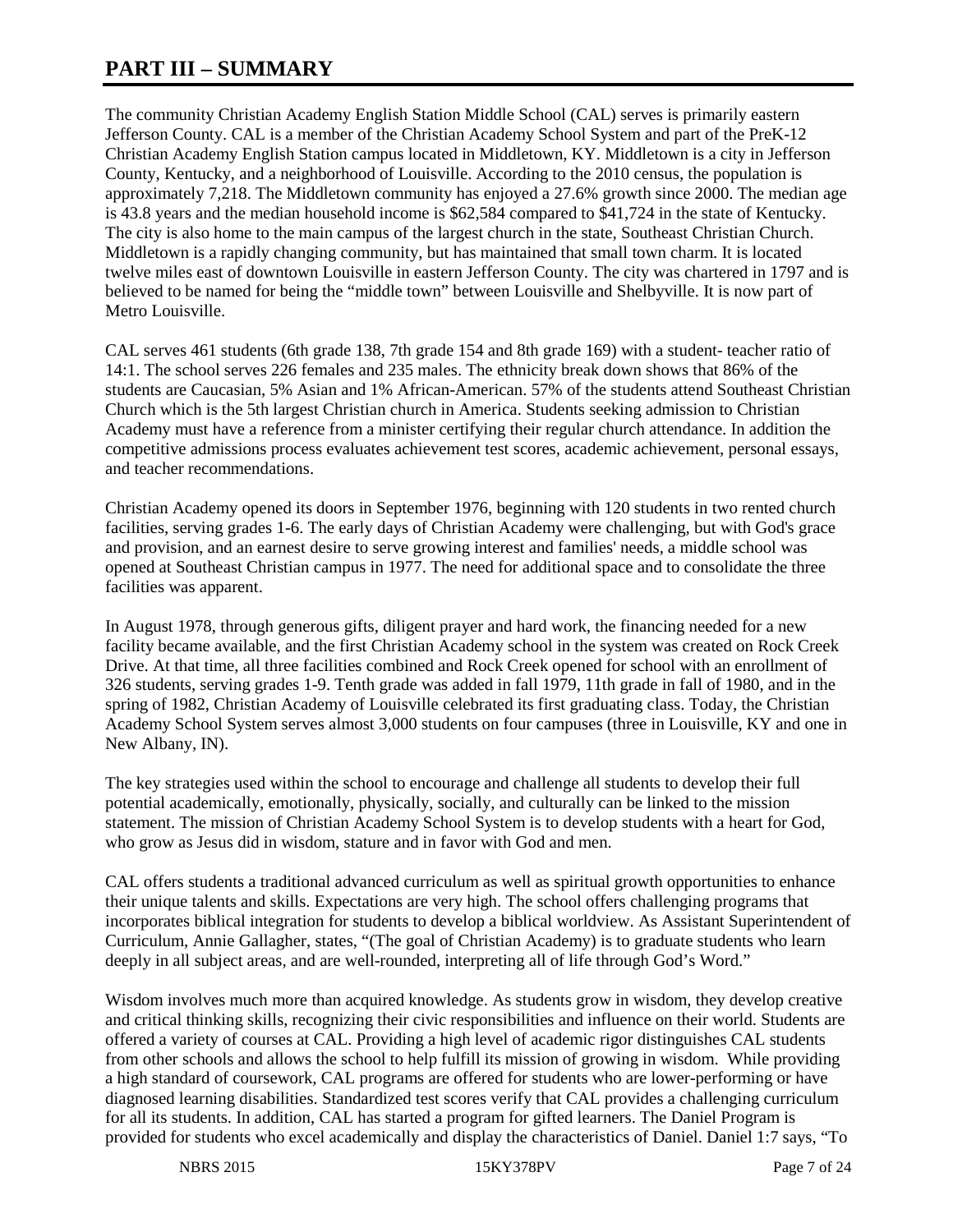# **PART III – SUMMARY**

The community Christian Academy English Station Middle School (CAL) serves is primarily eastern Jefferson County. CAL is a member of the Christian Academy School System and part of the PreK-12 Christian Academy English Station campus located in Middletown, KY. Middletown is a city in Jefferson County, Kentucky, and a neighborhood of Louisville. According to the 2010 census, the population is approximately 7,218. The Middletown community has enjoyed a 27.6% growth since 2000. The median age is 43.8 years and the median household income is \$62,584 compared to \$41,724 in the state of Kentucky. The city is also home to the main campus of the largest church in the state, Southeast Christian Church. Middletown is a rapidly changing community, but has maintained that small town charm. It is located twelve miles east of downtown Louisville in eastern Jefferson County. The city was chartered in 1797 and is believed to be named for being the "middle town" between Louisville and Shelbyville. It is now part of Metro Louisville.

CAL serves 461 students (6th grade 138, 7th grade 154 and 8th grade 169) with a student- teacher ratio of 14:1. The school serves 226 females and 235 males. The ethnicity break down shows that 86% of the students are Caucasian, 5% Asian and 1% African-American. 57% of the students attend Southeast Christian Church which is the 5th largest Christian church in America. Students seeking admission to Christian Academy must have a reference from a minister certifying their regular church attendance. In addition the competitive admissions process evaluates achievement test scores, academic achievement, personal essays, and teacher recommendations.

Christian Academy opened its doors in September 1976, beginning with 120 students in two rented church facilities, serving grades 1-6. The early days of Christian Academy were challenging, but with God's grace and provision, and an earnest desire to serve growing interest and families' needs, a middle school was opened at Southeast Christian campus in 1977. The need for additional space and to consolidate the three facilities was apparent.

In August 1978, through generous gifts, diligent prayer and hard work, the financing needed for a new facility became available, and the first Christian Academy school in the system was created on Rock Creek Drive. At that time, all three facilities combined and Rock Creek opened for school with an enrollment of 326 students, serving grades 1-9. Tenth grade was added in fall 1979, 11th grade in fall of 1980, and in the spring of 1982, Christian Academy of Louisville celebrated its first graduating class. Today, the Christian Academy School System serves almost 3,000 students on four campuses (three in Louisville, KY and one in New Albany, IN).

The key strategies used within the school to encourage and challenge all students to develop their full potential academically, emotionally, physically, socially, and culturally can be linked to the mission statement. The mission of Christian Academy School System is to develop students with a heart for God, who grow as Jesus did in wisdom, stature and in favor with God and men.

CAL offers students a traditional advanced curriculum as well as spiritual growth opportunities to enhance their unique talents and skills. Expectations are very high. The school offers challenging programs that incorporates biblical integration for students to develop a biblical worldview. As Assistant Superintendent of Curriculum, Annie Gallagher, states, "(The goal of Christian Academy) is to graduate students who learn deeply in all subject areas, and are well-rounded, interpreting all of life through God's Word."

Wisdom involves much more than acquired knowledge. As students grow in wisdom, they develop creative and critical thinking skills, recognizing their civic responsibilities and influence on their world. Students are offered a variety of courses at CAL. Providing a high level of academic rigor distinguishes CAL students from other schools and allows the school to help fulfill its mission of growing in wisdom. While providing a high standard of coursework, CAL programs are offered for students who are lower-performing or have diagnosed learning disabilities. Standardized test scores verify that CAL provides a challenging curriculum for all its students. In addition, CAL has started a program for gifted learners. The Daniel Program is provided for students who excel academically and display the characteristics of Daniel. Daniel 1:7 says, "To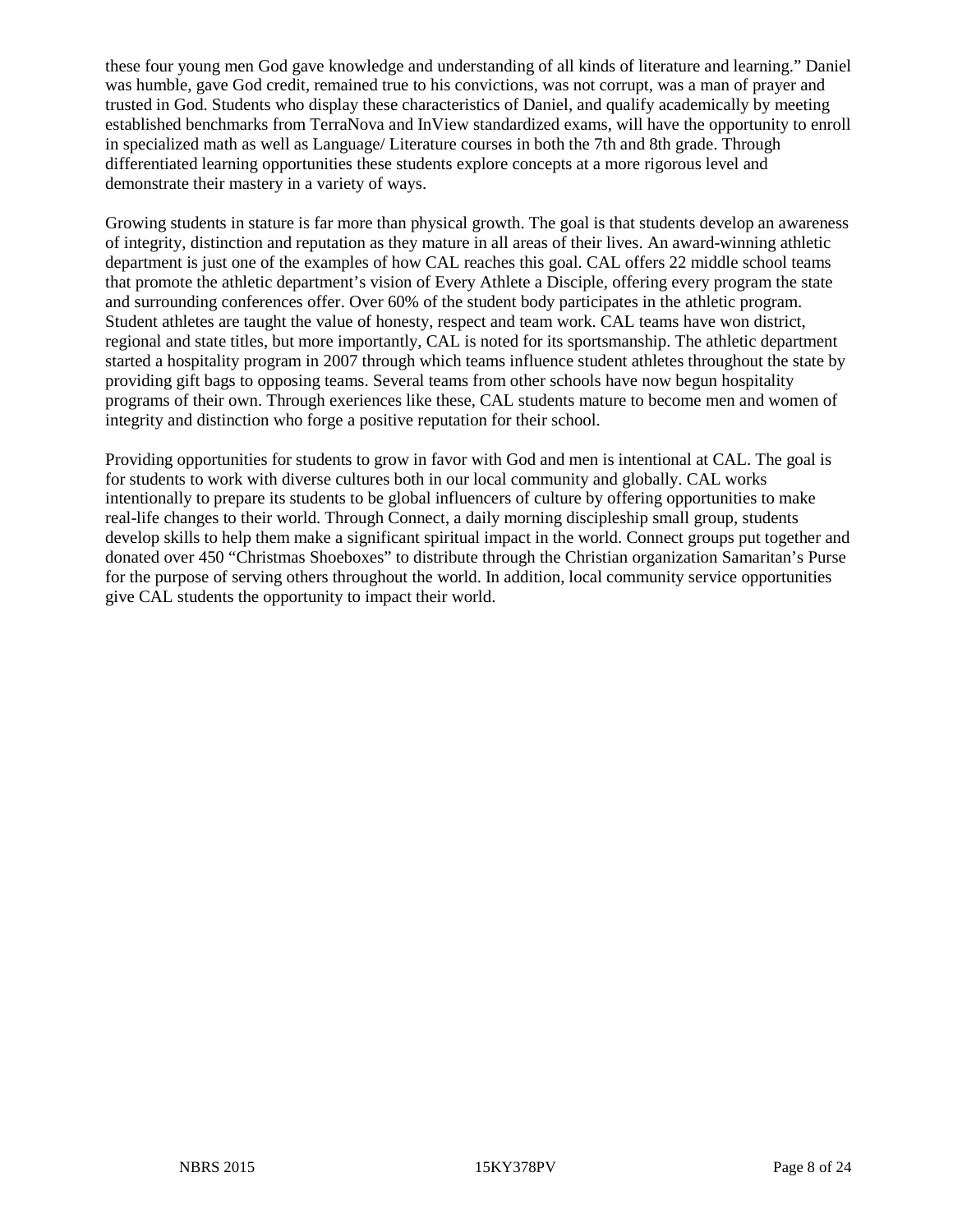these four young men God gave knowledge and understanding of all kinds of literature and learning." Daniel was humble, gave God credit, remained true to his convictions, was not corrupt, was a man of prayer and trusted in God. Students who display these characteristics of Daniel, and qualify academically by meeting established benchmarks from TerraNova and InView standardized exams, will have the opportunity to enroll in specialized math as well as Language/ Literature courses in both the 7th and 8th grade. Through differentiated learning opportunities these students explore concepts at a more rigorous level and demonstrate their mastery in a variety of ways.

Growing students in stature is far more than physical growth. The goal is that students develop an awareness of integrity, distinction and reputation as they mature in all areas of their lives. An award-winning athletic department is just one of the examples of how CAL reaches this goal. CAL offers 22 middle school teams that promote the athletic department's vision of Every Athlete a Disciple, offering every program the state and surrounding conferences offer. Over 60% of the student body participates in the athletic program. Student athletes are taught the value of honesty, respect and team work. CAL teams have won district, regional and state titles, but more importantly, CAL is noted for its sportsmanship. The athletic department started a hospitality program in 2007 through which teams influence student athletes throughout the state by providing gift bags to opposing teams. Several teams from other schools have now begun hospitality programs of their own. Through exeriences like these, CAL students mature to become men and women of integrity and distinction who forge a positive reputation for their school.

Providing opportunities for students to grow in favor with God and men is intentional at CAL. The goal is for students to work with diverse cultures both in our local community and globally. CAL works intentionally to prepare its students to be global influencers of culture by offering opportunities to make real-life changes to their world. Through Connect, a daily morning discipleship small group, students develop skills to help them make a significant spiritual impact in the world. Connect groups put together and donated over 450 "Christmas Shoeboxes" to distribute through the Christian organization Samaritan's Purse for the purpose of serving others throughout the world. In addition, local community service opportunities give CAL students the opportunity to impact their world.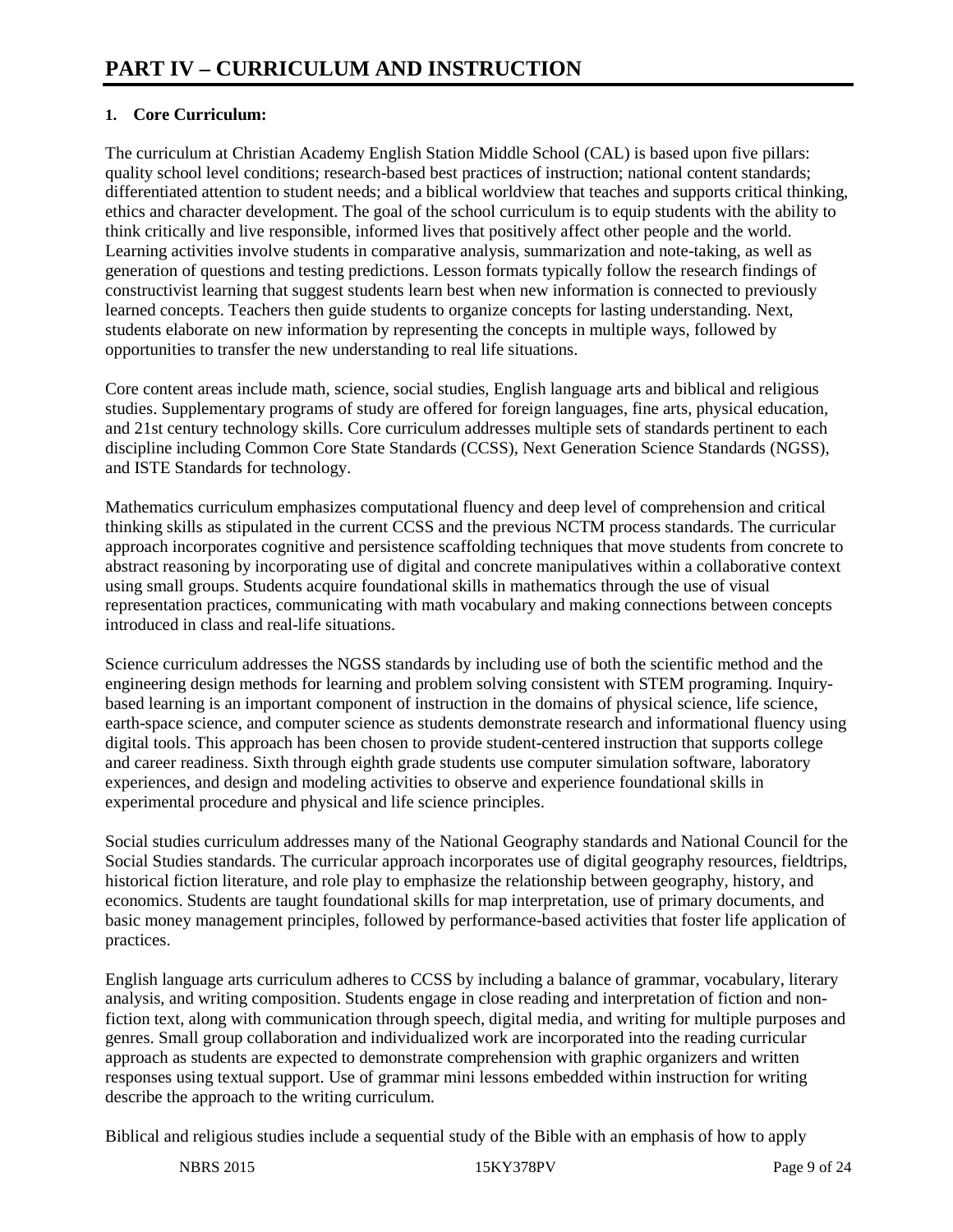# **1. Core Curriculum:**

The curriculum at Christian Academy English Station Middle School (CAL) is based upon five pillars: quality school level conditions; research-based best practices of instruction; national content standards; differentiated attention to student needs; and a biblical worldview that teaches and supports critical thinking, ethics and character development. The goal of the school curriculum is to equip students with the ability to think critically and live responsible, informed lives that positively affect other people and the world. Learning activities involve students in comparative analysis, summarization and note-taking, as well as generation of questions and testing predictions. Lesson formats typically follow the research findings of constructivist learning that suggest students learn best when new information is connected to previously learned concepts. Teachers then guide students to organize concepts for lasting understanding. Next, students elaborate on new information by representing the concepts in multiple ways, followed by opportunities to transfer the new understanding to real life situations.

Core content areas include math, science, social studies, English language arts and biblical and religious studies. Supplementary programs of study are offered for foreign languages, fine arts, physical education, and 21st century technology skills. Core curriculum addresses multiple sets of standards pertinent to each discipline including Common Core State Standards (CCSS), Next Generation Science Standards (NGSS), and ISTE Standards for technology.

Mathematics curriculum emphasizes computational fluency and deep level of comprehension and critical thinking skills as stipulated in the current CCSS and the previous NCTM process standards. The curricular approach incorporates cognitive and persistence scaffolding techniques that move students from concrete to abstract reasoning by incorporating use of digital and concrete manipulatives within a collaborative context using small groups. Students acquire foundational skills in mathematics through the use of visual representation practices, communicating with math vocabulary and making connections between concepts introduced in class and real-life situations.

Science curriculum addresses the NGSS standards by including use of both the scientific method and the engineering design methods for learning and problem solving consistent with STEM programing. Inquirybased learning is an important component of instruction in the domains of physical science, life science, earth-space science, and computer science as students demonstrate research and informational fluency using digital tools. This approach has been chosen to provide student-centered instruction that supports college and career readiness. Sixth through eighth grade students use computer simulation software, laboratory experiences, and design and modeling activities to observe and experience foundational skills in experimental procedure and physical and life science principles.

Social studies curriculum addresses many of the National Geography standards and National Council for the Social Studies standards. The curricular approach incorporates use of digital geography resources, fieldtrips, historical fiction literature, and role play to emphasize the relationship between geography, history, and economics. Students are taught foundational skills for map interpretation, use of primary documents, and basic money management principles, followed by performance-based activities that foster life application of practices.

English language arts curriculum adheres to CCSS by including a balance of grammar, vocabulary, literary analysis, and writing composition. Students engage in close reading and interpretation of fiction and nonfiction text, along with communication through speech, digital media, and writing for multiple purposes and genres. Small group collaboration and individualized work are incorporated into the reading curricular approach as students are expected to demonstrate comprehension with graphic organizers and written responses using textual support. Use of grammar mini lessons embedded within instruction for writing describe the approach to the writing curriculum.

Biblical and religious studies include a sequential study of the Bible with an emphasis of how to apply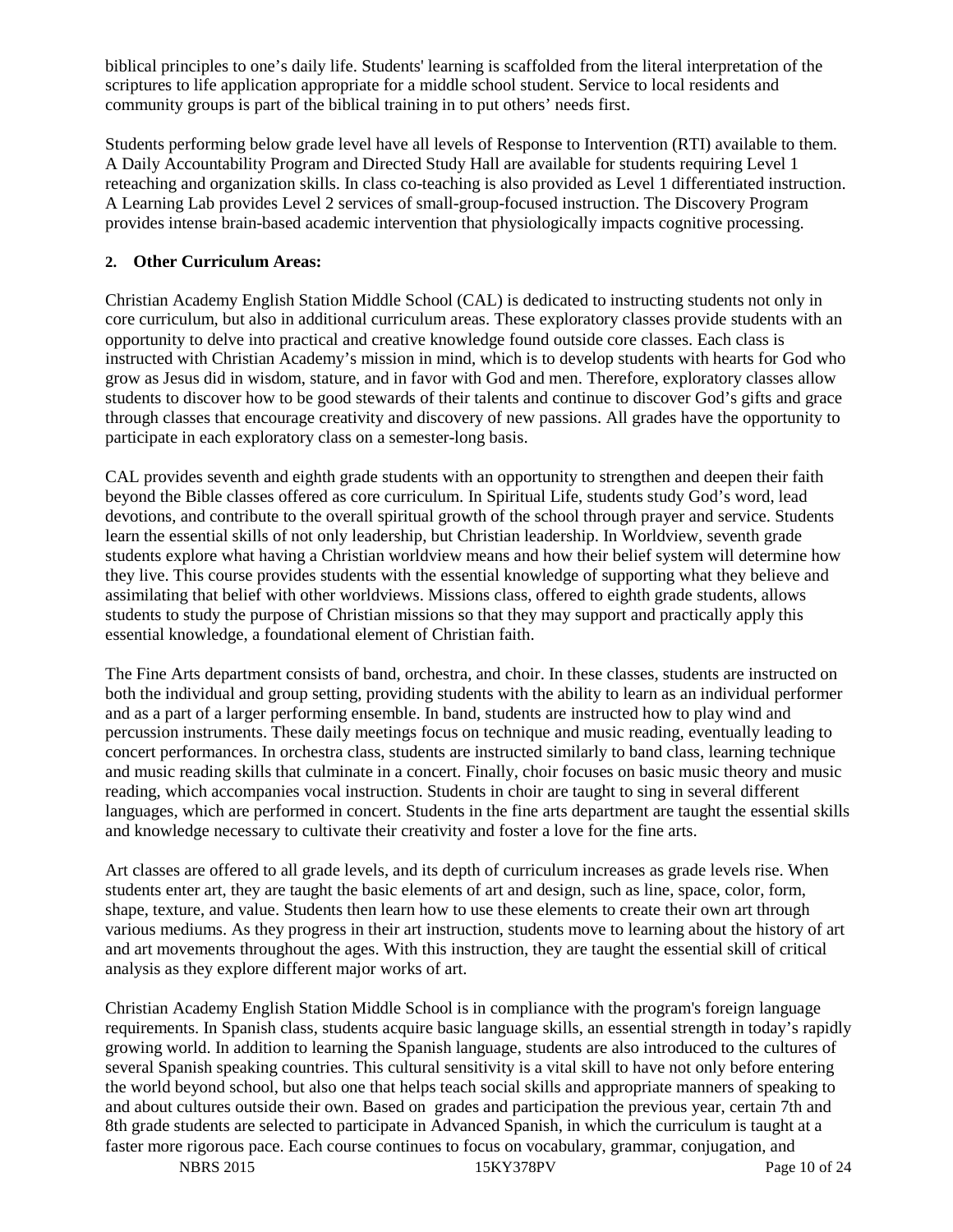biblical principles to one's daily life. Students' learning is scaffolded from the literal interpretation of the scriptures to life application appropriate for a middle school student. Service to local residents and community groups is part of the biblical training in to put others' needs first.

Students performing below grade level have all levels of Response to Intervention (RTI) available to them. A Daily Accountability Program and Directed Study Hall are available for students requiring Level 1 reteaching and organization skills. In class co-teaching is also provided as Level 1 differentiated instruction. A Learning Lab provides Level 2 services of small-group-focused instruction. The Discovery Program provides intense brain-based academic intervention that physiologically impacts cognitive processing.

## **2. Other Curriculum Areas:**

Christian Academy English Station Middle School (CAL) is dedicated to instructing students not only in core curriculum, but also in additional curriculum areas. These exploratory classes provide students with an opportunity to delve into practical and creative knowledge found outside core classes. Each class is instructed with Christian Academy's mission in mind, which is to develop students with hearts for God who grow as Jesus did in wisdom, stature, and in favor with God and men. Therefore, exploratory classes allow students to discover how to be good stewards of their talents and continue to discover God's gifts and grace through classes that encourage creativity and discovery of new passions. All grades have the opportunity to participate in each exploratory class on a semester-long basis.

CAL provides seventh and eighth grade students with an opportunity to strengthen and deepen their faith beyond the Bible classes offered as core curriculum. In Spiritual Life, students study God's word, lead devotions, and contribute to the overall spiritual growth of the school through prayer and service. Students learn the essential skills of not only leadership, but Christian leadership. In Worldview, seventh grade students explore what having a Christian worldview means and how their belief system will determine how they live. This course provides students with the essential knowledge of supporting what they believe and assimilating that belief with other worldviews. Missions class, offered to eighth grade students, allows students to study the purpose of Christian missions so that they may support and practically apply this essential knowledge, a foundational element of Christian faith.

The Fine Arts department consists of band, orchestra, and choir. In these classes, students are instructed on both the individual and group setting, providing students with the ability to learn as an individual performer and as a part of a larger performing ensemble. In band, students are instructed how to play wind and percussion instruments. These daily meetings focus on technique and music reading, eventually leading to concert performances. In orchestra class, students are instructed similarly to band class, learning technique and music reading skills that culminate in a concert. Finally, choir focuses on basic music theory and music reading, which accompanies vocal instruction. Students in choir are taught to sing in several different languages, which are performed in concert. Students in the fine arts department are taught the essential skills and knowledge necessary to cultivate their creativity and foster a love for the fine arts.

Art classes are offered to all grade levels, and its depth of curriculum increases as grade levels rise. When students enter art, they are taught the basic elements of art and design, such as line, space, color, form, shape, texture, and value. Students then learn how to use these elements to create their own art through various mediums. As they progress in their art instruction, students move to learning about the history of art and art movements throughout the ages. With this instruction, they are taught the essential skill of critical analysis as they explore different major works of art.

Christian Academy English Station Middle School is in compliance with the program's foreign language requirements. In Spanish class, students acquire basic language skills, an essential strength in today's rapidly growing world. In addition to learning the Spanish language, students are also introduced to the cultures of several Spanish speaking countries. This cultural sensitivity is a vital skill to have not only before entering the world beyond school, but also one that helps teach social skills and appropriate manners of speaking to and about cultures outside their own. Based on grades and participation the previous year, certain 7th and 8th grade students are selected to participate in Advanced Spanish, in which the curriculum is taught at a faster more rigorous pace. Each course continues to focus on vocabulary, grammar, conjugation, and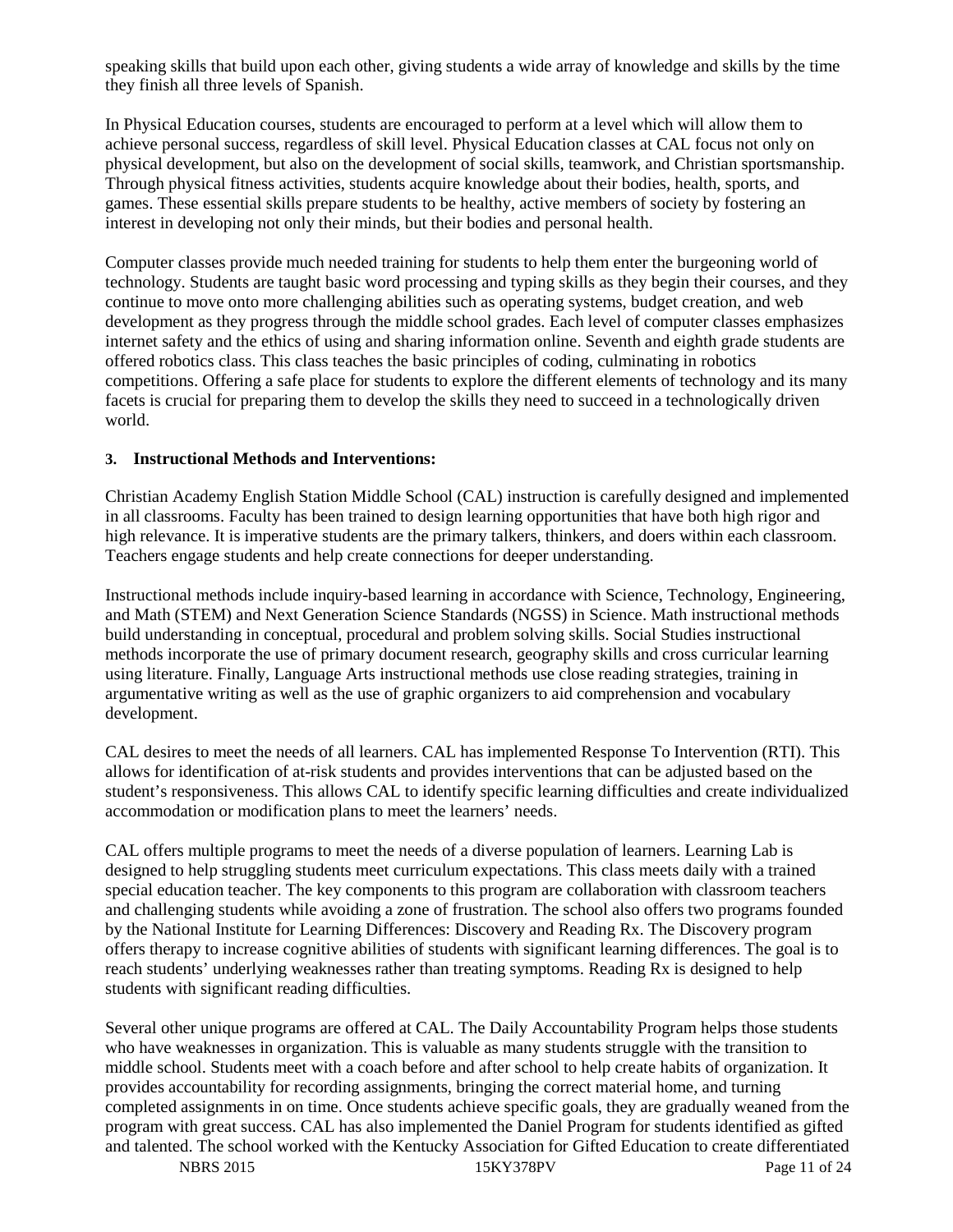speaking skills that build upon each other, giving students a wide array of knowledge and skills by the time they finish all three levels of Spanish.

In Physical Education courses, students are encouraged to perform at a level which will allow them to achieve personal success, regardless of skill level. Physical Education classes at CAL focus not only on physical development, but also on the development of social skills, teamwork, and Christian sportsmanship. Through physical fitness activities, students acquire knowledge about their bodies, health, sports, and games. These essential skills prepare students to be healthy, active members of society by fostering an interest in developing not only their minds, but their bodies and personal health.

Computer classes provide much needed training for students to help them enter the burgeoning world of technology. Students are taught basic word processing and typing skills as they begin their courses, and they continue to move onto more challenging abilities such as operating systems, budget creation, and web development as they progress through the middle school grades. Each level of computer classes emphasizes internet safety and the ethics of using and sharing information online. Seventh and eighth grade students are offered robotics class. This class teaches the basic principles of coding, culminating in robotics competitions. Offering a safe place for students to explore the different elements of technology and its many facets is crucial for preparing them to develop the skills they need to succeed in a technologically driven world.

### **3. Instructional Methods and Interventions:**

Christian Academy English Station Middle School (CAL) instruction is carefully designed and implemented in all classrooms. Faculty has been trained to design learning opportunities that have both high rigor and high relevance. It is imperative students are the primary talkers, thinkers, and doers within each classroom. Teachers engage students and help create connections for deeper understanding.

Instructional methods include inquiry-based learning in accordance with Science, Technology, Engineering, and Math (STEM) and Next Generation Science Standards (NGSS) in Science. Math instructional methods build understanding in conceptual, procedural and problem solving skills. Social Studies instructional methods incorporate the use of primary document research, geography skills and cross curricular learning using literature. Finally, Language Arts instructional methods use close reading strategies, training in argumentative writing as well as the use of graphic organizers to aid comprehension and vocabulary development.

CAL desires to meet the needs of all learners. CAL has implemented Response To Intervention (RTI). This allows for identification of at-risk students and provides interventions that can be adjusted based on the student's responsiveness. This allows CAL to identify specific learning difficulties and create individualized accommodation or modification plans to meet the learners' needs.

CAL offers multiple programs to meet the needs of a diverse population of learners. Learning Lab is designed to help struggling students meet curriculum expectations. This class meets daily with a trained special education teacher. The key components to this program are collaboration with classroom teachers and challenging students while avoiding a zone of frustration. The school also offers two programs founded by the National Institute for Learning Differences: Discovery and Reading Rx. The Discovery program offers therapy to increase cognitive abilities of students with significant learning differences. The goal is to reach students' underlying weaknesses rather than treating symptoms. Reading Rx is designed to help students with significant reading difficulties.

Several other unique programs are offered at CAL. The Daily Accountability Program helps those students who have weaknesses in organization. This is valuable as many students struggle with the transition to middle school. Students meet with a coach before and after school to help create habits of organization. It provides accountability for recording assignments, bringing the correct material home, and turning completed assignments in on time. Once students achieve specific goals, they are gradually weaned from the program with great success. CAL has also implemented the Daniel Program for students identified as gifted and talented. The school worked with the Kentucky Association for Gifted Education to create differentiated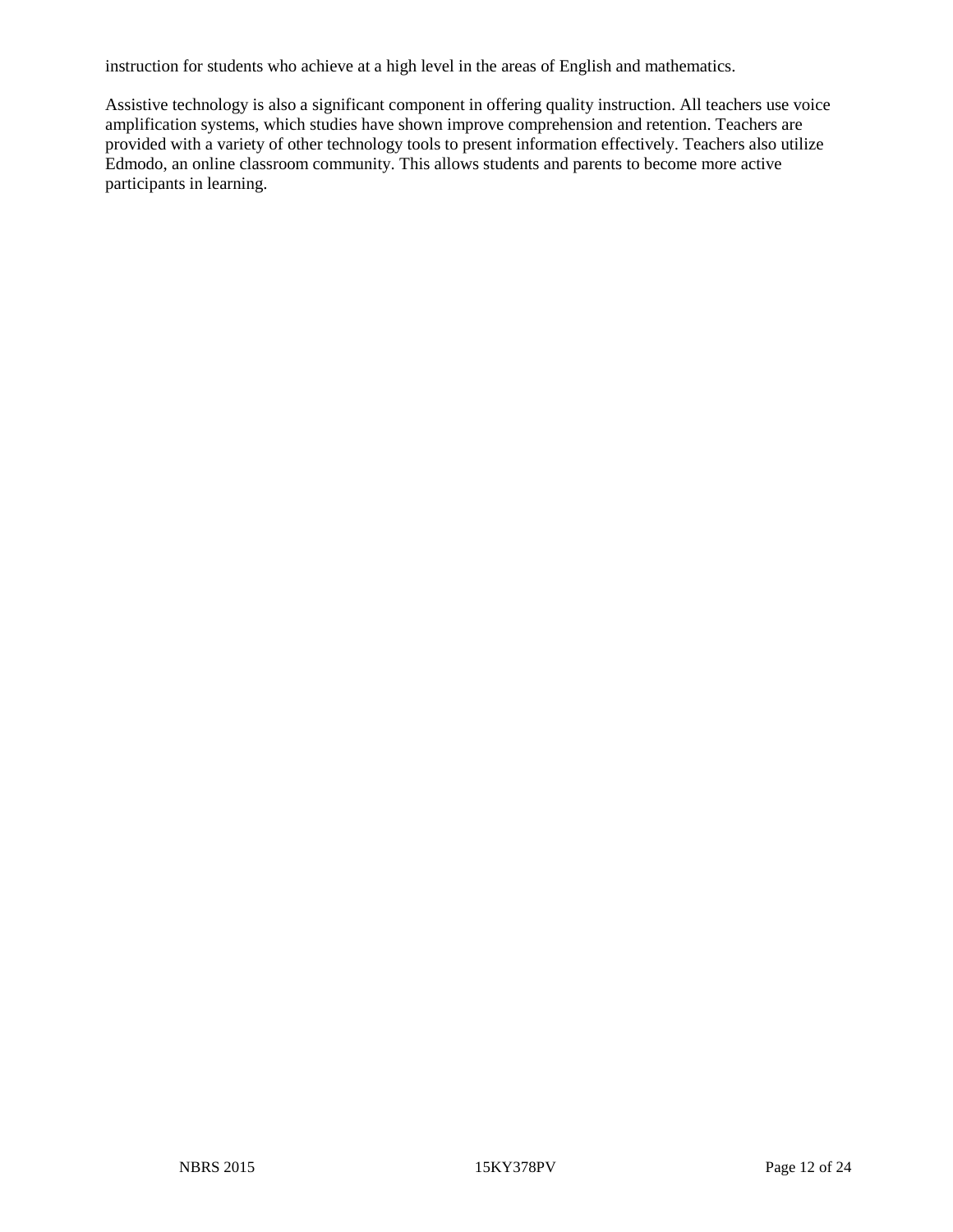instruction for students who achieve at a high level in the areas of English and mathematics.

Assistive technology is also a significant component in offering quality instruction. All teachers use voice amplification systems, which studies have shown improve comprehension and retention. Teachers are provided with a variety of other technology tools to present information effectively. Teachers also utilize Edmodo, an online classroom community. This allows students and parents to become more active participants in learning.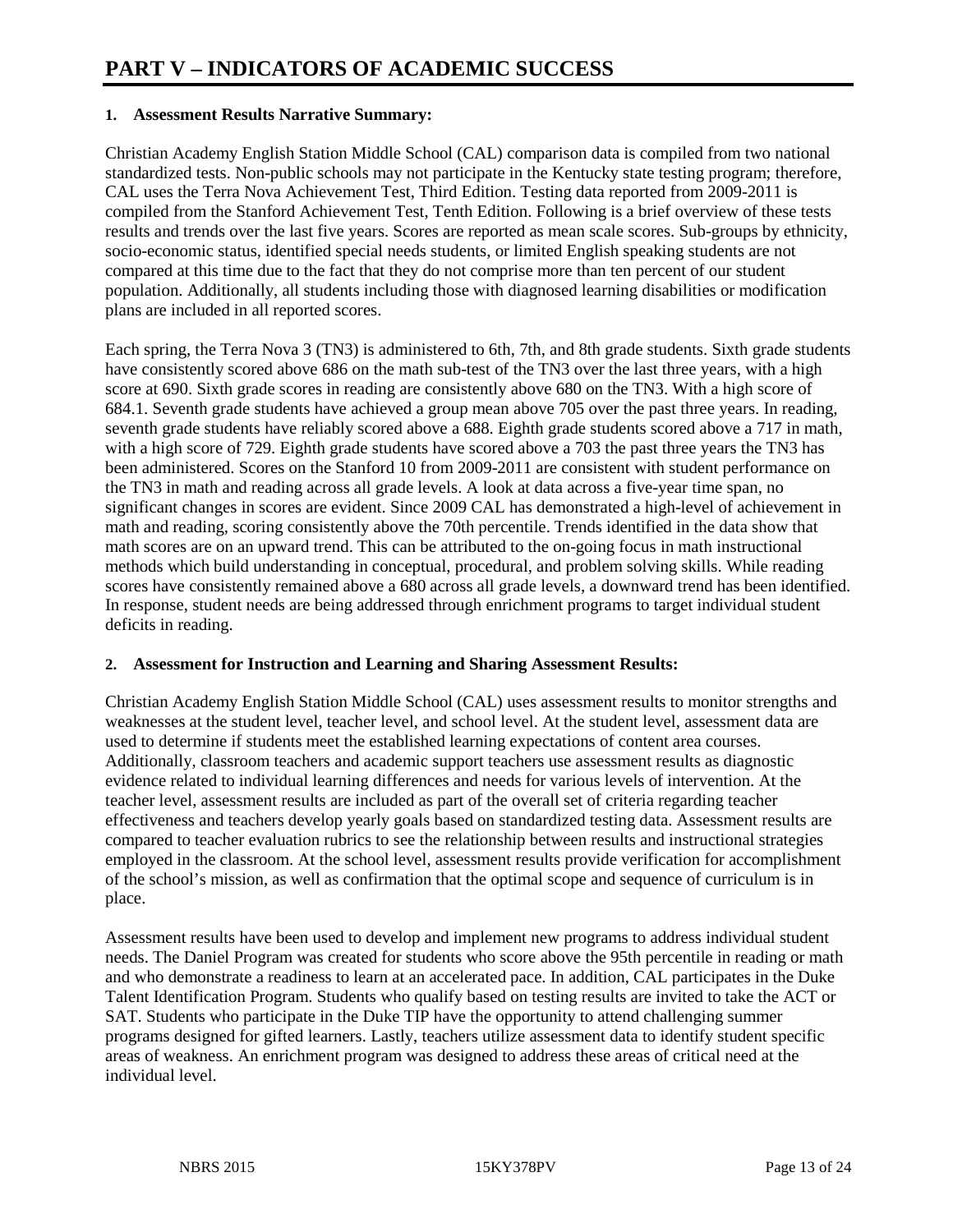### **1. Assessment Results Narrative Summary:**

Christian Academy English Station Middle School (CAL) comparison data is compiled from two national standardized tests. Non-public schools may not participate in the Kentucky state testing program; therefore, CAL uses the Terra Nova Achievement Test, Third Edition. Testing data reported from 2009-2011 is compiled from the Stanford Achievement Test, Tenth Edition. Following is a brief overview of these tests results and trends over the last five years. Scores are reported as mean scale scores. Sub-groups by ethnicity, socio-economic status, identified special needs students, or limited English speaking students are not compared at this time due to the fact that they do not comprise more than ten percent of our student population. Additionally, all students including those with diagnosed learning disabilities or modification plans are included in all reported scores.

Each spring, the Terra Nova 3 (TN3) is administered to 6th, 7th, and 8th grade students. Sixth grade students have consistently scored above 686 on the math sub-test of the TN3 over the last three years, with a high score at 690. Sixth grade scores in reading are consistently above 680 on the TN3. With a high score of 684.1. Seventh grade students have achieved a group mean above 705 over the past three years. In reading, seventh grade students have reliably scored above a 688. Eighth grade students scored above a 717 in math, with a high score of 729. Eighth grade students have scored above a 703 the past three years the TN3 has been administered. Scores on the Stanford 10 from 2009-2011 are consistent with student performance on the TN3 in math and reading across all grade levels. A look at data across a five-year time span, no significant changes in scores are evident. Since 2009 CAL has demonstrated a high-level of achievement in math and reading, scoring consistently above the 70th percentile. Trends identified in the data show that math scores are on an upward trend. This can be attributed to the on-going focus in math instructional methods which build understanding in conceptual, procedural, and problem solving skills. While reading scores have consistently remained above a 680 across all grade levels, a downward trend has been identified. In response, student needs are being addressed through enrichment programs to target individual student deficits in reading.

# **2. Assessment for Instruction and Learning and Sharing Assessment Results:**

Christian Academy English Station Middle School (CAL) uses assessment results to monitor strengths and weaknesses at the student level, teacher level, and school level. At the student level, assessment data are used to determine if students meet the established learning expectations of content area courses. Additionally, classroom teachers and academic support teachers use assessment results as diagnostic evidence related to individual learning differences and needs for various levels of intervention. At the teacher level, assessment results are included as part of the overall set of criteria regarding teacher effectiveness and teachers develop yearly goals based on standardized testing data. Assessment results are compared to teacher evaluation rubrics to see the relationship between results and instructional strategies employed in the classroom. At the school level, assessment results provide verification for accomplishment of the school's mission, as well as confirmation that the optimal scope and sequence of curriculum is in place.

Assessment results have been used to develop and implement new programs to address individual student needs. The Daniel Program was created for students who score above the 95th percentile in reading or math and who demonstrate a readiness to learn at an accelerated pace. In addition, CAL participates in the Duke Talent Identification Program. Students who qualify based on testing results are invited to take the ACT or SAT. Students who participate in the Duke TIP have the opportunity to attend challenging summer programs designed for gifted learners. Lastly, teachers utilize assessment data to identify student specific areas of weakness. An enrichment program was designed to address these areas of critical need at the individual level.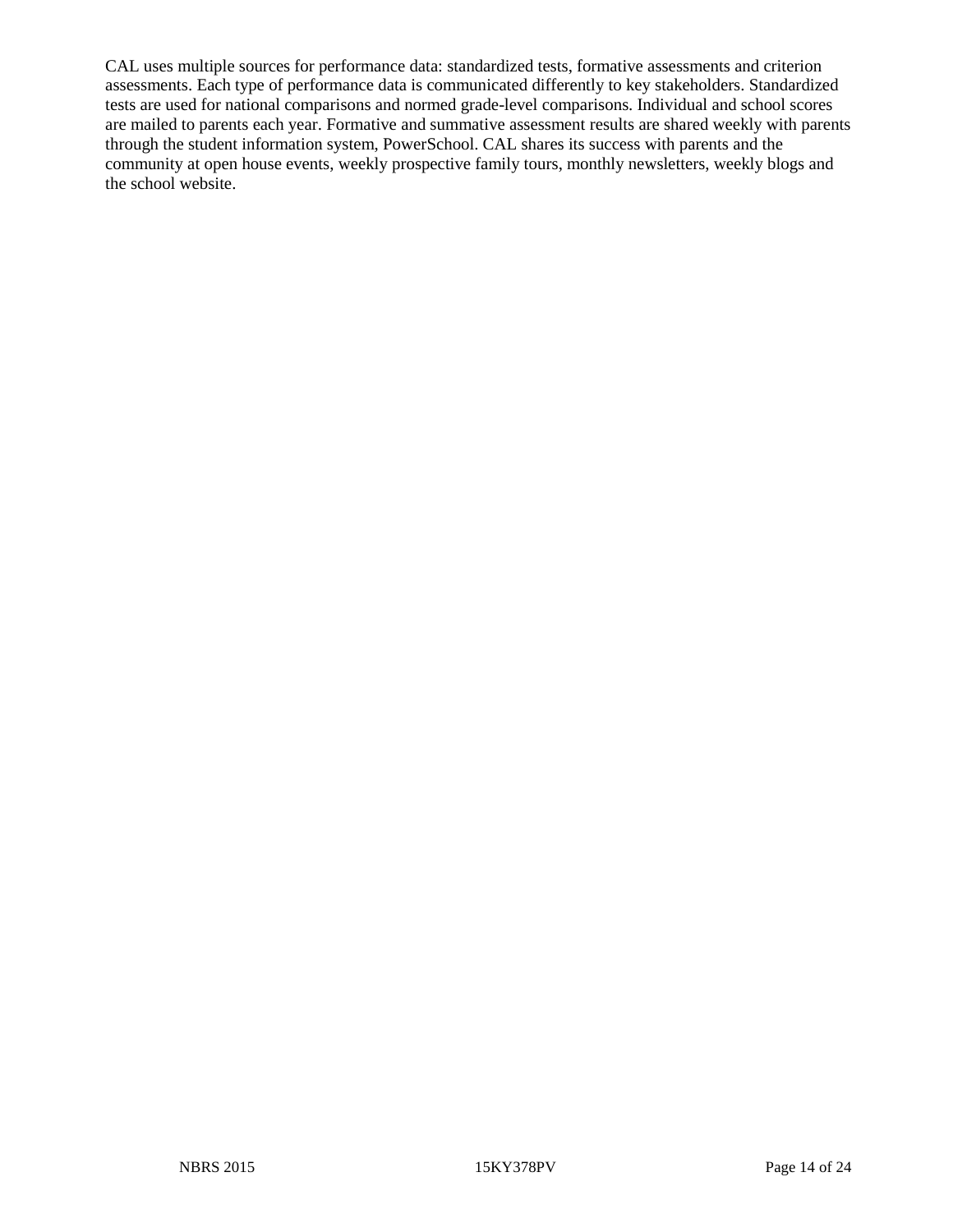CAL uses multiple sources for performance data: standardized tests, formative assessments and criterion assessments. Each type of performance data is communicated differently to key stakeholders. Standardized tests are used for national comparisons and normed grade-level comparisons. Individual and school scores are mailed to parents each year. Formative and summative assessment results are shared weekly with parents through the student information system, PowerSchool. CAL shares its success with parents and the community at open house events, weekly prospective family tours, monthly newsletters, weekly blogs and the school website.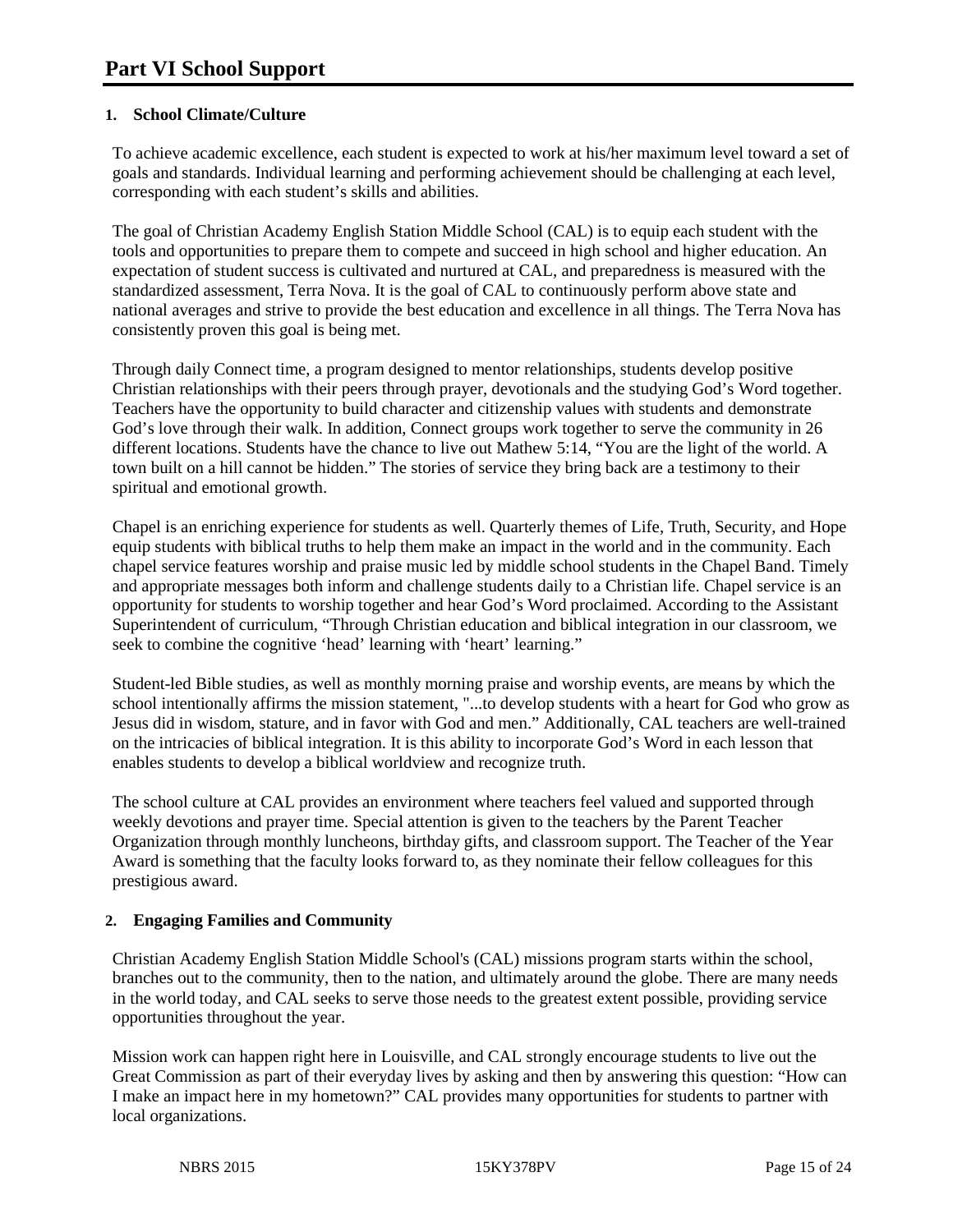## **1. School Climate/Culture**

To achieve academic excellence, each student is expected to work at his/her maximum level toward a set of goals and standards. Individual learning and performing achievement should be challenging at each level, corresponding with each student's skills and abilities.

The goal of Christian Academy English Station Middle School (CAL) is to equip each student with the tools and opportunities to prepare them to compete and succeed in high school and higher education. An expectation of student success is cultivated and nurtured at CAL, and preparedness is measured with the standardized assessment, Terra Nova. It is the goal of CAL to continuously perform above state and national averages and strive to provide the best education and excellence in all things. The Terra Nova has consistently proven this goal is being met.

Through daily Connect time, a program designed to mentor relationships, students develop positive Christian relationships with their peers through prayer, devotionals and the studying God's Word together. Teachers have the opportunity to build character and citizenship values with students and demonstrate God's love through their walk. In addition, Connect groups work together to serve the community in 26 different locations. Students have the chance to live out Mathew 5:14, "You are the light of the world. A town built on a hill cannot be hidden." The stories of service they bring back are a testimony to their spiritual and emotional growth.

Chapel is an enriching experience for students as well. Quarterly themes of Life, Truth, Security, and Hope equip students with biblical truths to help them make an impact in the world and in the community. Each chapel service features worship and praise music led by middle school students in the Chapel Band. Timely and appropriate messages both inform and challenge students daily to a Christian life. Chapel service is an opportunity for students to worship together and hear God's Word proclaimed. According to the Assistant Superintendent of curriculum, "Through Christian education and biblical integration in our classroom, we seek to combine the cognitive 'head' learning with 'heart' learning."

Student-led Bible studies, as well as monthly morning praise and worship events, are means by which the school intentionally affirms the mission statement, "...to develop students with a heart for God who grow as Jesus did in wisdom, stature, and in favor with God and men." Additionally, CAL teachers are well-trained on the intricacies of biblical integration. It is this ability to incorporate God's Word in each lesson that enables students to develop a biblical worldview and recognize truth.

The school culture at CAL provides an environment where teachers feel valued and supported through weekly devotions and prayer time. Special attention is given to the teachers by the Parent Teacher Organization through monthly luncheons, birthday gifts, and classroom support. The Teacher of the Year Award is something that the faculty looks forward to, as they nominate their fellow colleagues for this prestigious award.

# **2. Engaging Families and Community**

Christian Academy English Station Middle School's (CAL) missions program starts within the school, branches out to the community, then to the nation, and ultimately around the globe. There are many needs in the world today, and CAL seeks to serve those needs to the greatest extent possible, providing service opportunities throughout the year.

Mission work can happen right here in Louisville, and CAL strongly encourage students to live out the Great Commission as part of their everyday lives by asking and then by answering this question: "How can I make an impact here in my hometown?" CAL provides many opportunities for students to partner with local organizations.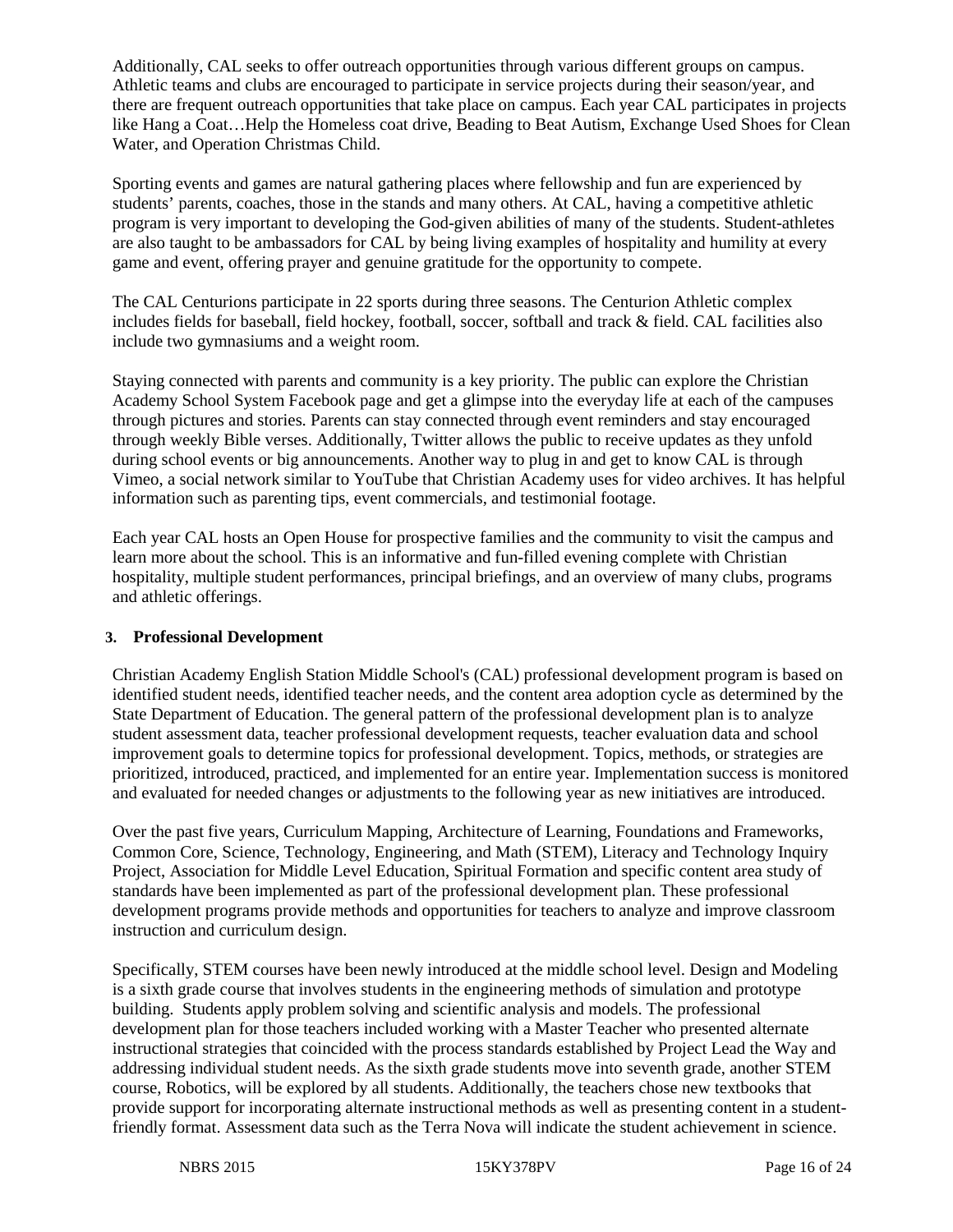Additionally, CAL seeks to offer outreach opportunities through various different groups on campus. Athletic teams and clubs are encouraged to participate in service projects during their season/year, and there are frequent outreach opportunities that take place on campus. Each year CAL participates in projects like Hang a Coat…Help the Homeless coat drive, Beading to Beat Autism, Exchange Used Shoes for Clean Water, and Operation Christmas Child.

Sporting events and games are natural gathering places where fellowship and fun are experienced by students' parents, coaches, those in the stands and many others. At CAL, having a competitive athletic program is very important to developing the God-given abilities of many of the students. Student-athletes are also taught to be ambassadors for CAL by being living examples of hospitality and humility at every game and event, offering prayer and genuine gratitude for the opportunity to compete.

The CAL Centurions participate in 22 sports during three seasons. The Centurion Athletic complex includes fields for baseball, field hockey, football, soccer, softball and track & field. CAL facilities also include two gymnasiums and a weight room.

Staying connected with parents and community is a key priority. The public can explore the Christian Academy School System Facebook page and get a glimpse into the everyday life at each of the campuses through pictures and stories. Parents can stay connected through event reminders and stay encouraged through weekly Bible verses. Additionally, Twitter allows the public to receive updates as they unfold during school events or big announcements. Another way to plug in and get to know CAL is through Vimeo, a social network similar to YouTube that Christian Academy uses for video archives. It has helpful information such as parenting tips, event commercials, and testimonial footage.

Each year CAL hosts an Open House for prospective families and the community to visit the campus and learn more about the school. This is an informative and fun-filled evening complete with Christian hospitality, multiple student performances, principal briefings, and an overview of many clubs, programs and athletic offerings.

# **3. Professional Development**

Christian Academy English Station Middle School's (CAL) professional development program is based on identified student needs, identified teacher needs, and the content area adoption cycle as determined by the State Department of Education. The general pattern of the professional development plan is to analyze student assessment data, teacher professional development requests, teacher evaluation data and school improvement goals to determine topics for professional development. Topics, methods, or strategies are prioritized, introduced, practiced, and implemented for an entire year. Implementation success is monitored and evaluated for needed changes or adjustments to the following year as new initiatives are introduced.

Over the past five years, Curriculum Mapping, Architecture of Learning, Foundations and Frameworks, Common Core, Science, Technology, Engineering, and Math (STEM), Literacy and Technology Inquiry Project, Association for Middle Level Education, Spiritual Formation and specific content area study of standards have been implemented as part of the professional development plan. These professional development programs provide methods and opportunities for teachers to analyze and improve classroom instruction and curriculum design.

Specifically, STEM courses have been newly introduced at the middle school level. Design and Modeling is a sixth grade course that involves students in the engineering methods of simulation and prototype building. Students apply problem solving and scientific analysis and models. The professional development plan for those teachers included working with a Master Teacher who presented alternate instructional strategies that coincided with the process standards established by Project Lead the Way and addressing individual student needs. As the sixth grade students move into seventh grade, another STEM course, Robotics, will be explored by all students. Additionally, the teachers chose new textbooks that provide support for incorporating alternate instructional methods as well as presenting content in a studentfriendly format. Assessment data such as the Terra Nova will indicate the student achievement in science.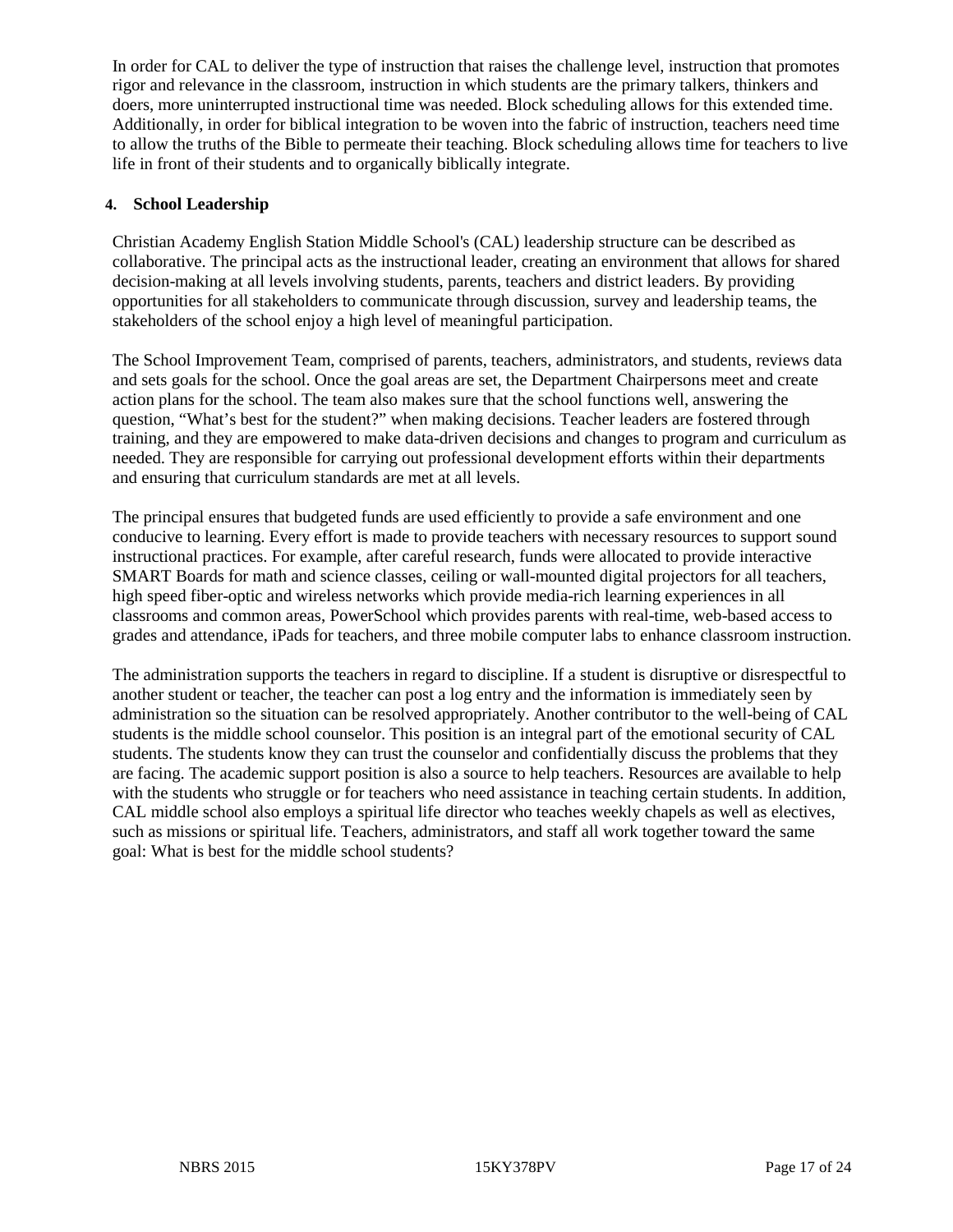In order for CAL to deliver the type of instruction that raises the challenge level, instruction that promotes rigor and relevance in the classroom, instruction in which students are the primary talkers, thinkers and doers, more uninterrupted instructional time was needed. Block scheduling allows for this extended time. Additionally, in order for biblical integration to be woven into the fabric of instruction, teachers need time to allow the truths of the Bible to permeate their teaching. Block scheduling allows time for teachers to live life in front of their students and to organically biblically integrate.

# **4. School Leadership**

Christian Academy English Station Middle School's (CAL) leadership structure can be described as collaborative. The principal acts as the instructional leader, creating an environment that allows for shared decision-making at all levels involving students, parents, teachers and district leaders. By providing opportunities for all stakeholders to communicate through discussion, survey and leadership teams, the stakeholders of the school enjoy a high level of meaningful participation.

The School Improvement Team, comprised of parents, teachers, administrators, and students, reviews data and sets goals for the school. Once the goal areas are set, the Department Chairpersons meet and create action plans for the school. The team also makes sure that the school functions well, answering the question, "What's best for the student?" when making decisions. Teacher leaders are fostered through training, and they are empowered to make data-driven decisions and changes to program and curriculum as needed. They are responsible for carrying out professional development efforts within their departments and ensuring that curriculum standards are met at all levels.

The principal ensures that budgeted funds are used efficiently to provide a safe environment and one conducive to learning. Every effort is made to provide teachers with necessary resources to support sound instructional practices. For example, after careful research, funds were allocated to provide interactive SMART Boards for math and science classes, ceiling or wall-mounted digital projectors for all teachers, high speed fiber-optic and wireless networks which provide media-rich learning experiences in all classrooms and common areas, PowerSchool which provides parents with real-time, web-based access to grades and attendance, iPads for teachers, and three mobile computer labs to enhance classroom instruction.

The administration supports the teachers in regard to discipline. If a student is disruptive or disrespectful to another student or teacher, the teacher can post a log entry and the information is immediately seen by administration so the situation can be resolved appropriately. Another contributor to the well-being of CAL students is the middle school counselor. This position is an integral part of the emotional security of CAL students. The students know they can trust the counselor and confidentially discuss the problems that they are facing. The academic support position is also a source to help teachers. Resources are available to help with the students who struggle or for teachers who need assistance in teaching certain students. In addition, CAL middle school also employs a spiritual life director who teaches weekly chapels as well as electives, such as missions or spiritual life. Teachers, administrators, and staff all work together toward the same goal: What is best for the middle school students?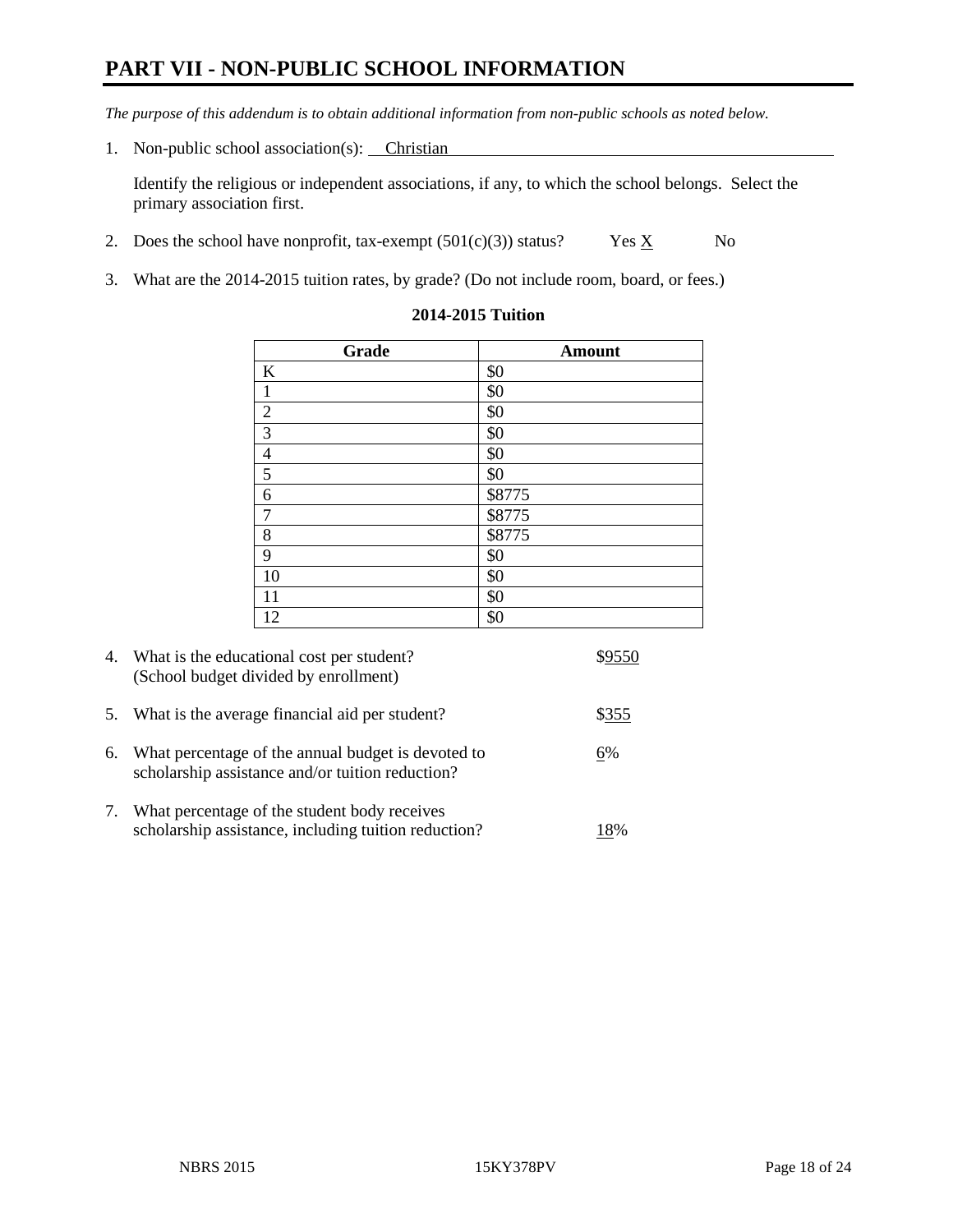# **PART VII - NON-PUBLIC SCHOOL INFORMATION**

*The purpose of this addendum is to obtain additional information from non-public schools as noted below.*

1. Non-public school association(s): Christian

Identify the religious or independent associations, if any, to which the school belongs. Select the primary association first.

- 2. Does the school have nonprofit, tax-exempt  $(501(c)(3))$  status? Yes  $\underline{X}$  No
- 3. What are the 2014-2015 tuition rates, by grade? (Do not include room, board, or fees.)

| Grade                   | <b>Amount</b> |
|-------------------------|---------------|
| $\bf K$                 | \$0           |
| $\mathbf{1}$            | \$0           |
| $\sqrt{2}$              | \$0           |
| $\overline{\mathbf{3}}$ | \$0           |
| $\overline{4}$          | \$0           |
| $\overline{5}$          | \$0           |
| $\boldsymbol{6}$        | \$8775        |
| $\boldsymbol{7}$        | \$8775        |
| 8                       | \$8775        |
| 9                       | \$0           |
| 10                      | \$0           |
| 11                      | \$0           |
| 12                      | \$0           |

#### **2014-2015 Tuition**

|    | 4. What is the educational cost per student?<br>(School budget divided by enrollment)                  | \$9550 |
|----|--------------------------------------------------------------------------------------------------------|--------|
|    | 5. What is the average financial aid per student?                                                      | \$355  |
| 6. | What percentage of the annual budget is devoted to<br>scholarship assistance and/or tuition reduction? | 6%     |
| 7. | What percentage of the student body receives<br>scholarship assistance, including tuition reduction?   | 18%    |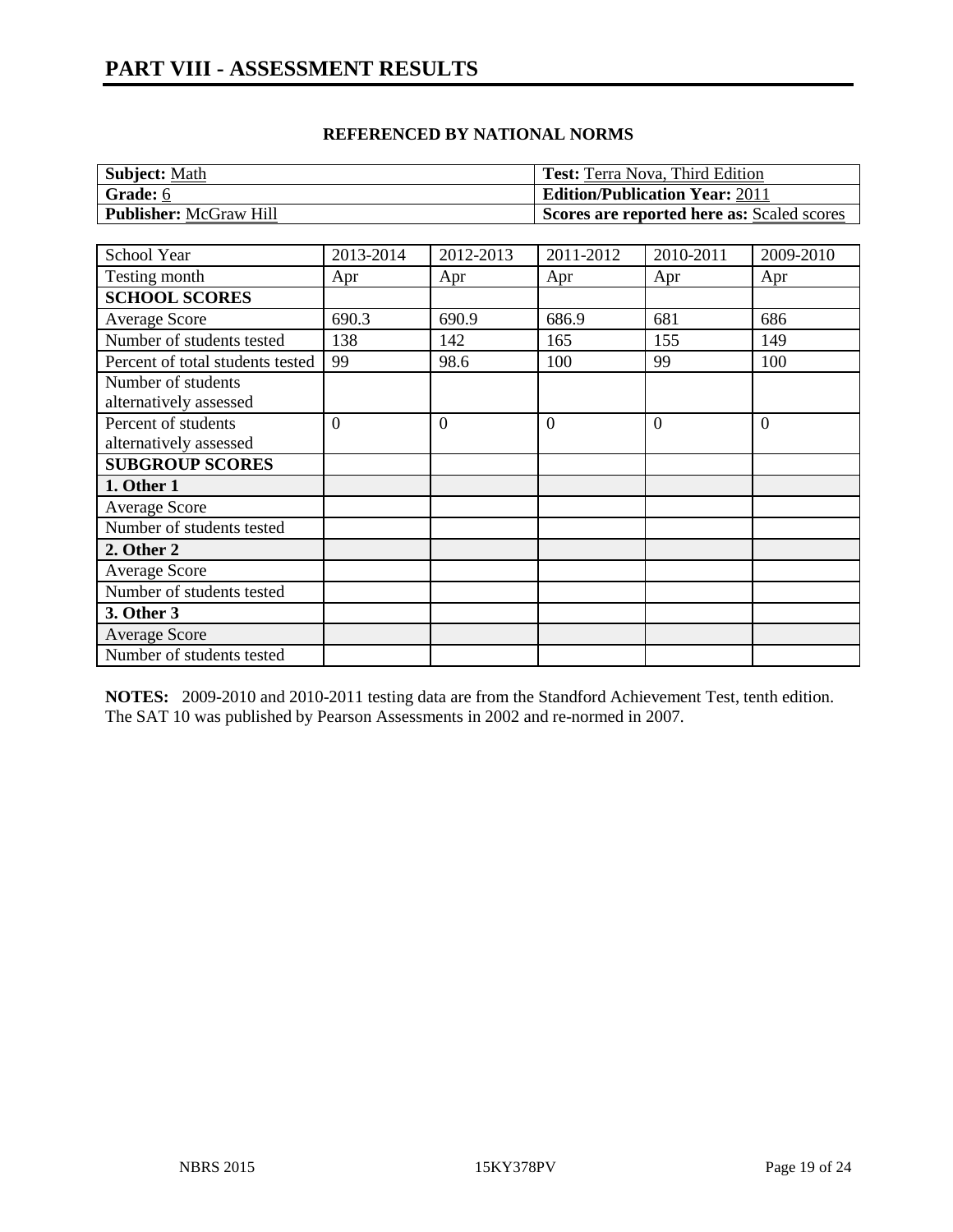| <b>Subject: Math</b>          | <b>Test:</b> Terra Nova, Third Edition     |
|-------------------------------|--------------------------------------------|
| Grade: 6                      | <b>Edition/Publication Year: 2011</b>      |
| <b>Publisher: McGraw Hill</b> | Scores are reported here as: Scaled scores |

| School Year                      | 2013-2014      | 2012-2013      | 2011-2012      | 2010-2011 | 2009-2010      |
|----------------------------------|----------------|----------------|----------------|-----------|----------------|
| Testing month                    | Apr            | Apr            | Apr            | Apr       | Apr            |
| <b>SCHOOL SCORES</b>             |                |                |                |           |                |
| Average Score                    | 690.3          | 690.9          | 686.9          | 681       | 686            |
| Number of students tested        | 138            | 142            | 165            | 155       | 149            |
| Percent of total students tested | 99             | 98.6           | 100            | 99        | 100            |
| Number of students               |                |                |                |           |                |
| alternatively assessed           |                |                |                |           |                |
| Percent of students              | $\overline{0}$ | $\overline{0}$ | $\overline{0}$ | $\theta$  | $\overline{0}$ |
| alternatively assessed           |                |                |                |           |                |
| <b>SUBGROUP SCORES</b>           |                |                |                |           |                |
| 1. Other 1                       |                |                |                |           |                |
| <b>Average Score</b>             |                |                |                |           |                |
| Number of students tested        |                |                |                |           |                |
| 2. Other 2                       |                |                |                |           |                |
| Average Score                    |                |                |                |           |                |
| Number of students tested        |                |                |                |           |                |
| 3. Other 3                       |                |                |                |           |                |
| <b>Average Score</b>             |                |                |                |           |                |
| Number of students tested        |                |                |                |           |                |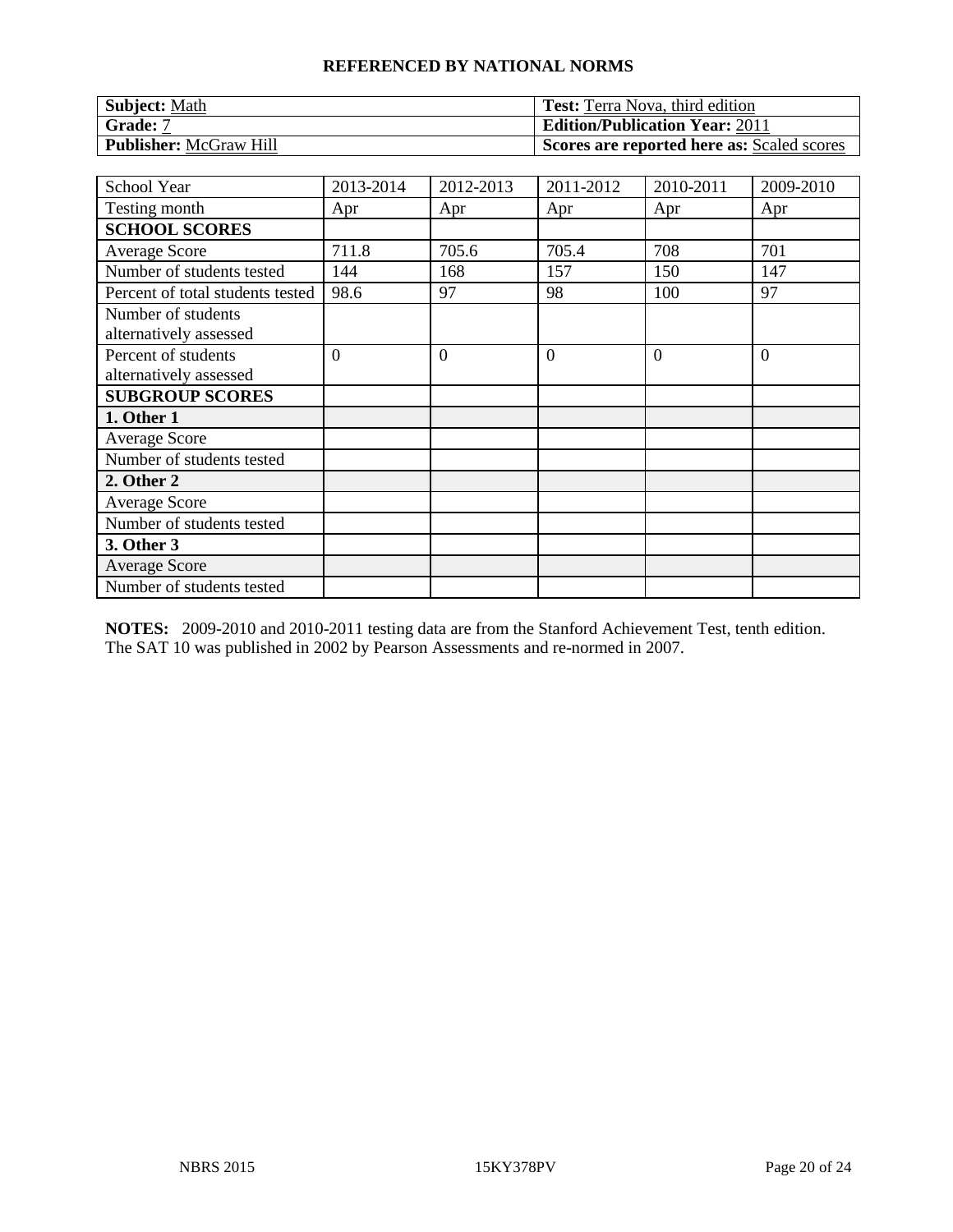| Subject: Math                 | <b>Test:</b> Terra Nova, third edition     |
|-------------------------------|--------------------------------------------|
| Grade: 7                      | <b>Edition/Publication Year: 2011</b>      |
| <b>Publisher: McGraw Hill</b> | Scores are reported here as: Scaled scores |

| School Year                                   | 2013-2014      | 2012-2013      | 2011-2012      | 2010-2011 | 2009-2010      |
|-----------------------------------------------|----------------|----------------|----------------|-----------|----------------|
| Testing month                                 | Apr            | Apr            | Apr            | Apr       | Apr            |
| <b>SCHOOL SCORES</b>                          |                |                |                |           |                |
| <b>Average Score</b>                          | 711.8          | 705.6          | 705.4          | 708       | 701            |
| Number of students tested                     | 144            | 168            | 157            | 150       | 147            |
| Percent of total students tested              | 98.6           | 97             | 98             | 100       | 97             |
| Number of students<br>alternatively assessed  |                |                |                |           |                |
| Percent of students<br>alternatively assessed | $\overline{0}$ | $\overline{0}$ | $\overline{0}$ | $\Omega$  | $\overline{0}$ |
| <b>SUBGROUP SCORES</b>                        |                |                |                |           |                |
| 1. Other 1                                    |                |                |                |           |                |
| <b>Average Score</b>                          |                |                |                |           |                |
| Number of students tested                     |                |                |                |           |                |
| 2. Other 2                                    |                |                |                |           |                |
| <b>Average Score</b>                          |                |                |                |           |                |
| Number of students tested                     |                |                |                |           |                |
| 3. Other 3                                    |                |                |                |           |                |
| <b>Average Score</b>                          |                |                |                |           |                |
| Number of students tested                     |                |                |                |           |                |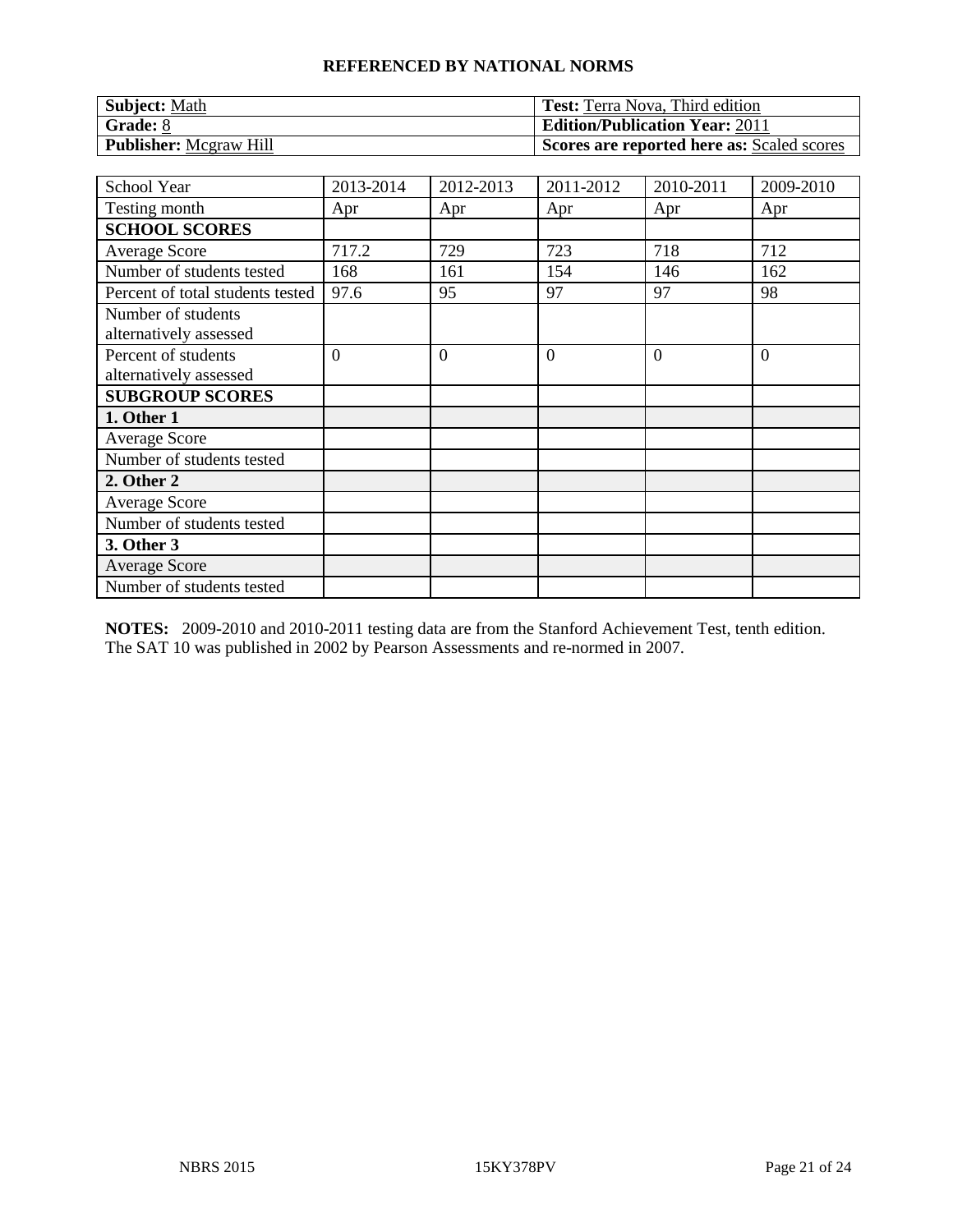| <b>Subject: Math</b>          | <b>Test:</b> Terra Nova, Third edition     |
|-------------------------------|--------------------------------------------|
| Grade: 8                      | <b>Edition/Publication Year: 2011</b>      |
| <b>Publisher:</b> Mcgraw Hill | Scores are reported here as: Scaled scores |

| School Year                                   | 2013-2014      | 2012-2013      | 2011-2012      | 2010-2011 | 2009-2010      |
|-----------------------------------------------|----------------|----------------|----------------|-----------|----------------|
| Testing month                                 | Apr            | Apr            | Apr            | Apr       | Apr            |
| <b>SCHOOL SCORES</b>                          |                |                |                |           |                |
| <b>Average Score</b>                          | 717.2          | 729            | 723            | 718       | 712            |
| Number of students tested                     | 168            | 161            | 154            | 146       | 162            |
| Percent of total students tested              | 97.6           | 95             | 97             | 97        | 98             |
| Number of students<br>alternatively assessed  |                |                |                |           |                |
| Percent of students<br>alternatively assessed | $\overline{0}$ | $\overline{0}$ | $\overline{0}$ | $\Omega$  | $\overline{0}$ |
| <b>SUBGROUP SCORES</b>                        |                |                |                |           |                |
| 1. Other 1                                    |                |                |                |           |                |
| <b>Average Score</b>                          |                |                |                |           |                |
| Number of students tested                     |                |                |                |           |                |
| 2. Other 2                                    |                |                |                |           |                |
| <b>Average Score</b>                          |                |                |                |           |                |
| Number of students tested                     |                |                |                |           |                |
| 3. Other 3                                    |                |                |                |           |                |
| <b>Average Score</b>                          |                |                |                |           |                |
| Number of students tested                     |                |                |                |           |                |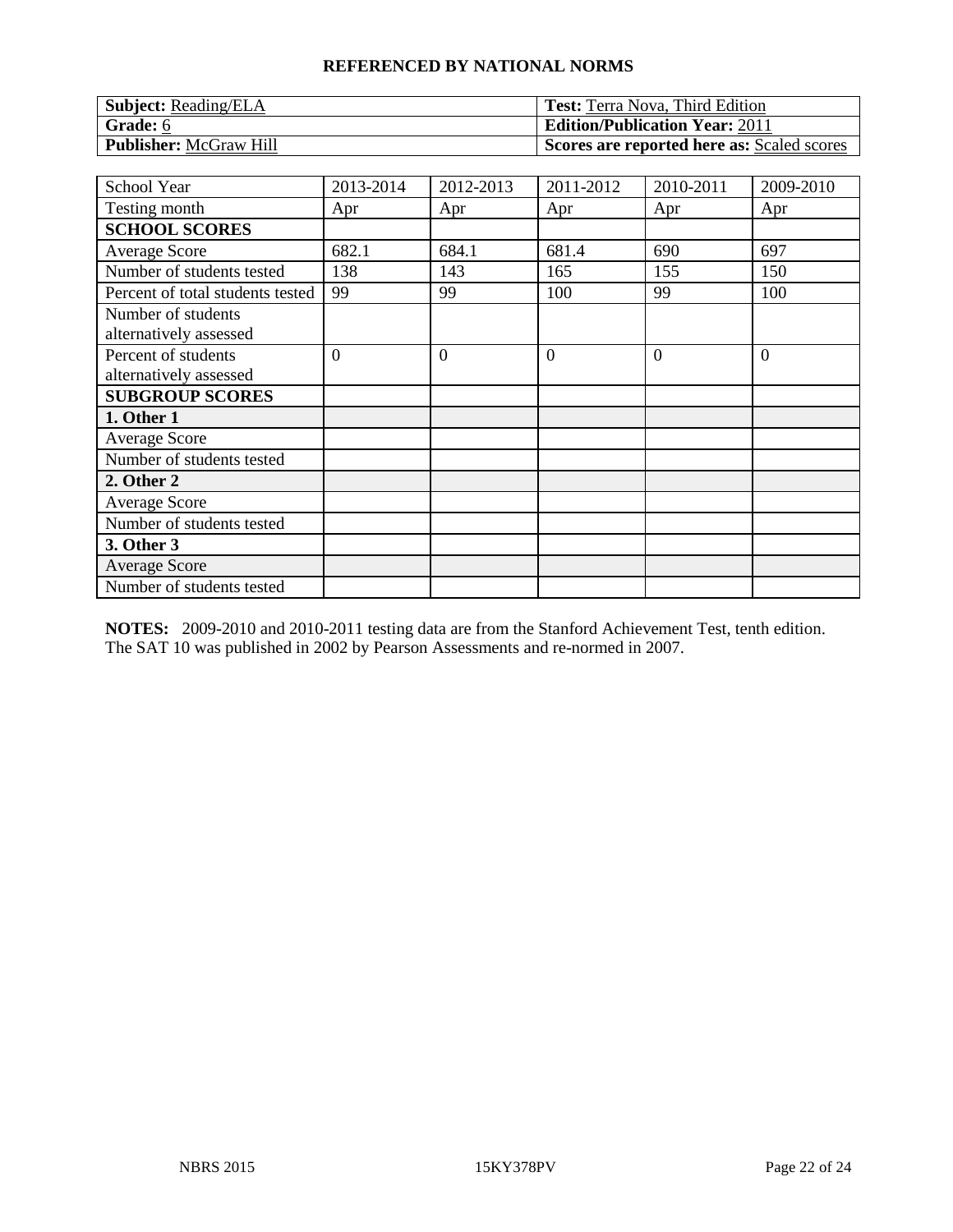| <b>Subject:</b> Reading/ELA   | <b>Test:</b> Terra Nova, Third Edition     |
|-------------------------------|--------------------------------------------|
| Grade: 6                      | <b>Edition/Publication Year: 2011</b>      |
| <b>Publisher: McGraw Hill</b> | Scores are reported here as: Scaled scores |

| <b>School Year</b>                            | 2013-2014      | 2012-2013      | 2011-2012 | 2010-2011 | 2009-2010      |
|-----------------------------------------------|----------------|----------------|-----------|-----------|----------------|
| Testing month                                 | Apr            | Apr            | Apr       | Apr       | Apr            |
| <b>SCHOOL SCORES</b>                          |                |                |           |           |                |
| <b>Average Score</b>                          | 682.1          | 684.1          | 681.4     | 690       | 697            |
| Number of students tested                     | 138            | 143            | 165       | 155       | 150            |
| Percent of total students tested              | 99             | 99             | 100       | 99        | 100            |
| Number of students<br>alternatively assessed  |                |                |           |           |                |
| Percent of students<br>alternatively assessed | $\overline{0}$ | $\overline{0}$ | $\theta$  | $\Omega$  | $\overline{0}$ |
| <b>SUBGROUP SCORES</b>                        |                |                |           |           |                |
| 1. Other 1                                    |                |                |           |           |                |
| Average Score                                 |                |                |           |           |                |
| Number of students tested                     |                |                |           |           |                |
| 2. Other 2                                    |                |                |           |           |                |
| <b>Average Score</b>                          |                |                |           |           |                |
| Number of students tested                     |                |                |           |           |                |
| 3. Other 3                                    |                |                |           |           |                |
| <b>Average Score</b>                          |                |                |           |           |                |
| Number of students tested                     |                |                |           |           |                |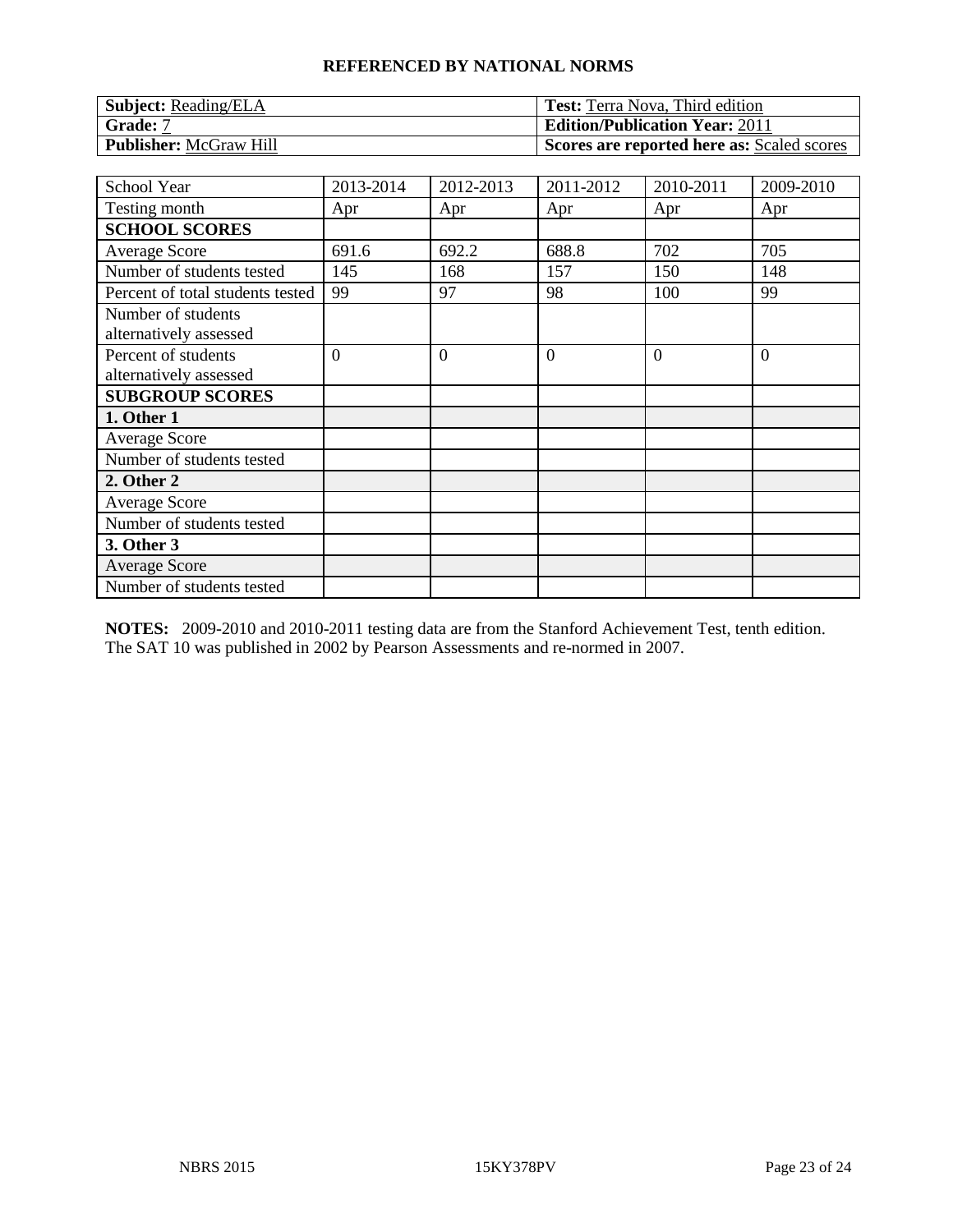| <b>Subject:</b> Reading/ELA   | <b>Test:</b> Terra Nova, Third edition     |
|-------------------------------|--------------------------------------------|
| Grade: 7                      | <b>Edition/Publication Year: 2011</b>      |
| <b>Publisher: McGraw Hill</b> | Scores are reported here as: Scaled scores |

| School Year                                   | 2013-2014      | 2012-2013      | 2011-2012      | 2010-2011 | 2009-2010      |
|-----------------------------------------------|----------------|----------------|----------------|-----------|----------------|
| Testing month                                 | Apr            | Apr            | Apr            | Apr       | Apr            |
| <b>SCHOOL SCORES</b>                          |                |                |                |           |                |
| <b>Average Score</b>                          | 691.6          | 692.2          | 688.8          | 702       | 705            |
| Number of students tested                     | 145            | 168            | 157            | 150       | 148            |
| Percent of total students tested              | 99             | 97             | 98             | 100       | 99             |
| Number of students<br>alternatively assessed  |                |                |                |           |                |
| Percent of students<br>alternatively assessed | $\overline{0}$ | $\overline{0}$ | $\overline{0}$ | $\Omega$  | $\overline{0}$ |
| <b>SUBGROUP SCORES</b>                        |                |                |                |           |                |
| 1. Other 1                                    |                |                |                |           |                |
| <b>Average Score</b>                          |                |                |                |           |                |
| Number of students tested                     |                |                |                |           |                |
| 2. Other 2                                    |                |                |                |           |                |
| <b>Average Score</b>                          |                |                |                |           |                |
| Number of students tested                     |                |                |                |           |                |
| 3. Other 3                                    |                |                |                |           |                |
| <b>Average Score</b>                          |                |                |                |           |                |
| Number of students tested                     |                |                |                |           |                |